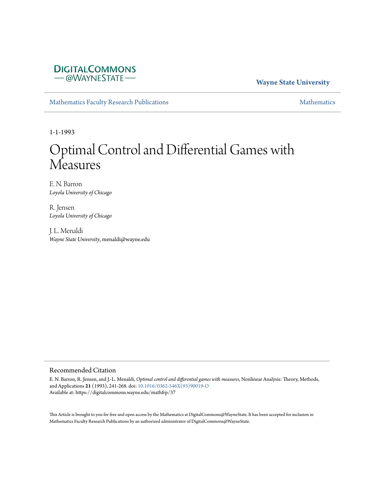# **DIGITALCOMMONS** - @WAYNESTATE-

## **Wayne State University**

[Mathematics Faculty Research Publications](https://digitalcommons.wayne.edu/mathfrp) **[Mathematics](https://digitalcommons.wayne.edu/math)** Mathematics

1-1-1993

# Optimal Control and Differential Games with **Measures**

E. N. Barron *Loyola University of Chicago*

R. Jensen *Loyola University of Chicago*

J. L. Menaldi *Wayne State University*, menaldi@wayne.edu

#### Recommended Citation

E. N. Barron, R. Jensen, and J.-L. Menaldi, *Optimal control and differential games with measures*, Nonlinear Analysis: Theory, Methods, and Applications **21** (1993), 241-268. doi: [10.1016/0362-546X\(93\)90019-O](https://dx.doi.org/10.1016/0362-546X(93)90019-O) Available at: https://digitalcommons.wayne.edu/mathfrp/37

This Article is brought to you for free and open access by the Mathematics at DigitalCommons@WayneState. It has been accepted for inclusion in Mathematics Faculty Research Publications by an authorized administrator of DigitalCommons@WayneState.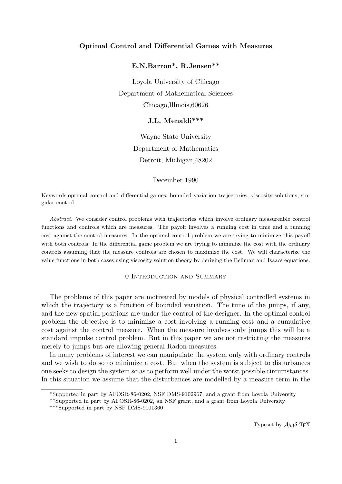#### **Optimal Control and Differential Games with Measures**

## **E.N.Barron\*, R.Jensen\*\***

Loyola University of Chicago Department of Mathematical Sciences Chicago,Illinois,60626

## **J.L. Menaldi\*\*\***

Wayne State University Department of Mathematics Detroit, Michigan,48202

December 1990

Keywords:optimal control and differential games, bounded variation trajectories, viscosity solutions, singular control

*Abstract.* We consider control problems with trajectories which involve ordinary measureable control functions and controls which are measures. The payoff involves a running cost in time and a running cost against the control measures. In the optimal control problem we are trying to minimize this payoff with both controls. In the differential game problem we are trying to minimize the cost with the ordinary controls assuming that the measure controls are chosen to maximize the cost. We will characterize the value functions in both cases using viscosity solution theory by deriving the Bellman and Isaacs equations.

#### 0.Introduction and Summary

The problems of this paper are motivated by models of physical controlled systems in which the trajectory is a function of bounded variation. The time of the jumps, if any, and the new spatial positions are under the control of the designer. In the optimal control problem the objective is to minimize a cost involving a running cost and a cumulative cost against the control measure. When the measure involves only jumps this will be a standard impulse control problem. But in this paper we are not restricting the measures merely to jumps but are allowing general Radon measures.

In many problems of interest we can manipulate the system only with ordinary controls and we wish to do so to minimize a cost. But when the system is subject to disturbances one seeks to design the system so as to perform well under the worst possible circumstances. In this situation we assume that the disturbances are modelled by a measure term in the

<sup>\*</sup>Supported in part by AFOSR-86-0202, NSF DMS-9102967, and a grant from Loyola University

<sup>\*\*</sup>Supported in part by AFOSR-86-0202, an NSF grant, and a grant from Loyola University

<sup>\*\*\*</sup>Supported in part by NSF DMS-9101360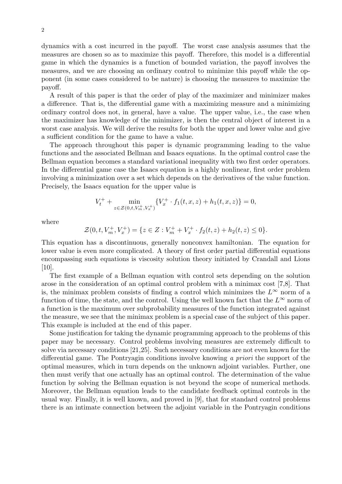dynamics with a cost incurred in the payoff. The worst case analysis assumes that the measures are chosen so as to maximize this payoff. Therefore, this model is a differential game in which the dynamics is a function of bounded variation, the payoff involves the measures, and we are choosing an ordinary control to minimize this payoff while the opponent (in some cases considered to be nature) is choosing the measures to maximize the payoff.

A result of this paper is that the order of play of the maximizer and minimizer makes a difference. That is, the differential game with a maximizing measure and a minimizing ordinary control does not, in general, have a value. The upper value, i.e., the case when the maximizer has knowledge of the minimizer, is then the central object of interest in a worst case analysis. We will derive the results for both the upper and lower value and give a sufficient condition for the game to have a value.

The approach throughout this paper is dynamic programming leading to the value functions and the associated Bellman and Isaacs equations. In the optimal control case the Bellman equation becomes a standard variational inequality with two first order operators. In the differential game case the Isaacs equation is a highly nonlinear, first order problem involving a minimization over a set which depends on the derivatives of the value function. Precisely, the Isaacs equation for the upper value is

$$
V_t^+ + \min_{z \in \mathcal{Z}(0,t,V_m^+,V_x^+)} \{V_x^+ \cdot f_1(t,x,z) + h_1(t,x,z)\} = 0,
$$

where

$$
\mathcal{Z}(0, t, V_m^+, V_x^+) = \{ z \in Z : V_m^+ + V_x^+ \cdot f_2(t, z) + h_2(t, z) \le 0 \}.
$$

This equation has a discontinuous, generally nonconvex hamiltonian. The equation for lower value is even more complicated. A theory of first order partial differential equations encompassing such equations is viscosity solution theory initiated by Crandall and Lions [10].

The first example of a Bellman equation with control sets depending on the solution arose in the consideration of an optimal control problem with a minimax cost [7,8]. That is, the minimax problem consists of finding a control which minimizes the  $L^{\infty}$  norm of a function of time, the state, and the control. Using the well known fact that the  $L^{\infty}$  norm of a function is the maximum over subprobability measures of the function integrated against the measure, we see that the minimax problem is a special case of the subject of this paper. This example is included at the end of this paper.

Some justification for taking the dynamic programming approach to the problems of this paper may be necessary. Control problems involving measures are extremely difficult to solve via necessary conditions [21,25]. Such necessary conditions are not even known for the differential game. The Pontryagin conditions involve knowing *a priori* the support of the optimal measures, which in turn depends on the unknown adjoint variables. Further, one then must verify that one actually has an optimal control. The determination of the value function by solving the Bellman equation is not beyond the scope of numerical methods. Moreover, the Bellman equation leads to the candidate feedback optimal controls in the usual way. Finally, it is well known, and proved in [9], that for standard control problems there is an intimate connection between the adjoint variable in the Pontryagin conditions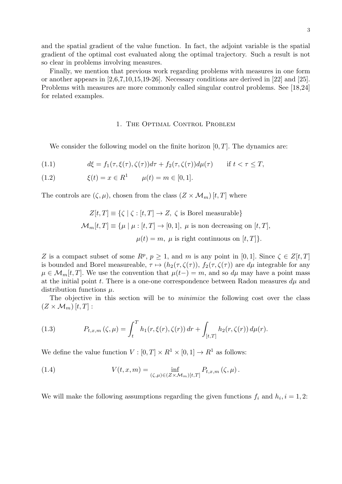and the spatial gradient of the value function. In fact, the adjoint variable is the spatial gradient of the optimal cost evaluated along the optimal trajectory. Such a result is not so clear in problems involving measures.

Finally, we mention that previous work regarding problems with measures in one form or another appears in [2,6,7,10,15,19-26]. Necessary conditions are derived in [22] and [25]. Problems with measures are more commonly called singular control problems. See [18,24] for related examples.

#### 1. The Optimal Control Problem

We consider the following model on the finite horizon [0*, T*]*.* The dynamics are:

(1.1) 
$$
d\xi = f_1(\tau, \xi(\tau), \zeta(\tau))d\tau + f_2(\tau, \zeta(\tau))d\mu(\tau) \quad \text{if } t < \tau \leq T,
$$

(1.2) 
$$
\xi(t) = x \in R^1 \qquad \mu(t) = m \in [0, 1].
$$

The controls are  $(\zeta, \mu)$ , chosen from the class  $(Z \times \mathcal{M}_m)[t, T]$  where

$$
Z[t,T] \equiv \{ \zeta \mid \zeta : [t,T] \to Z, \ \zeta \text{ is Borel measurable} \}
$$

$$
\mathcal{M}_m[t,T] \equiv \{ \mu \mid \mu : [t,T] \to [0,1], \ \mu \text{ is non decreasing on } [t,T],
$$

$$
\mu(t) = m, \ \mu \text{ is right continuous on } [t,T] \}.
$$

*Z* is a compact subset of some  $R^p$ ,  $p \geq 1$ , and *m* is any point in [0, 1]*.* Since  $\zeta \in Z[t,T]$ is bounded and Borel measureable,  $\tau \mapsto (h_2(\tau, \zeta(\tau)), f_2(\tau, \zeta(\tau))$  are  $d\mu$  integrable for any  $\mu \in \mathcal{M}_m[t, T]$ . We use the convention that  $\mu(t-) = m$ , and so  $d\mu$  may have a point mass at the initial point *t*. There is a one-one correspondence between Radon measures  $d\mu$  and distribution functions *µ.*

The objective in this section will be to *minimize* the following cost over the class  $(Z \times \mathcal{M}_m)[t,T]:$ 

(1.3) 
$$
P_{t,x,m}(\zeta,\mu) = \int_t^T h_1(r,\xi(r),\zeta(r)) dr + \int_{[t,T]} h_2(r,\zeta(r)) d\mu(r).
$$

We define the value function  $V : [0, T] \times R^1 \times [0, 1] \rightarrow R^1$  as follows:

(1.4) 
$$
V(t,x,m) = \inf_{(\zeta,\mu)\in(Z\times\mathcal{M}_m)[t,T]} P_{t,x,m}(\zeta,\mu).
$$

We will make the following assumptions regarding the given functions  $f_i$  and  $h_i$ ,  $i = 1, 2$ :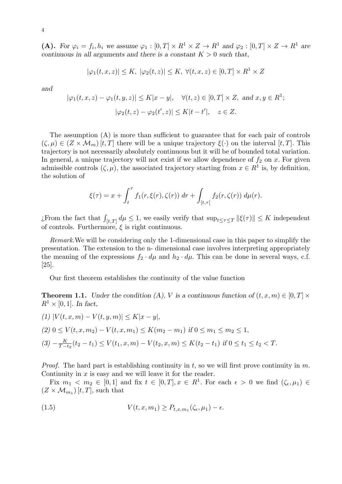(A). For  $\varphi_i = f_i, h_i$  we assume  $\varphi_1 : [0, T] \times R^1 \times Z \to R^1$  and  $\varphi_2 : [0, T] \times Z \to R^1$  are *continuous in all arguments and there is a constant*  $K > 0$  *such that,* 

$$
|\varphi_1(t, x, z)| \le K, \ |\varphi_2(t, z)| \le K, \ \forall (t, x, z) \in [0, T] \times R^1 \times Z
$$

*and*

$$
|\varphi_1(t, x, z) - \varphi_1(t, y, z)| \le K|x - y|, \quad \forall (t, z) \in [0, T] \times Z, \text{ and } x, y \in R^1;
$$
  

$$
|\varphi_2(t, z) - \varphi_2(t', z)| \le K|t - t'|, \quad z \in Z.
$$

The assumption (A) is more than sufficient to guarantee that for each pair of controls  $(\zeta, \mu) \in (Z \times M_m)$  [*t, T*] there will be a unique trajectory  $\xi(\cdot)$  on the interval [*t, T*]. This trajectory is not necessarily absolutely continuous but it will be of bounded total variation. In general, a unique trajectory will not exist if we allow dependence of  $f_2$  on  $x$ . For given admissible controls  $(\zeta, \mu)$ , the associated trajectory starting from  $x \in R^1$  is, by definition, the solution of

$$
\xi(\tau) = x + \int_t^{\tau} f_1(r, \xi(r), \zeta(r)) dr + \int_{[t, \tau]} f_2(r, \zeta(r)) d\mu(r).
$$

 $\int_{[t,T]} d\mu \leq 1$ , we easily verify that  $\sup_{t \leq \tau \leq T} ||\xi(\tau)|| \leq K$  independent of controls. Furthermore, *ξ* is right continuous.

*Remark.*We will be considering only the 1-dimensional case in this paper to simplify the presentation. The extension to the n- dimensional case involves interpreting appropriately the meaning of the expressions  $f_2 \cdot d\mu$  and  $h_2 \cdot d\mu$ . This can be done in several ways, c.f. [25].

Our first theorem establishes the continuity of the value function

**Theorem 1.1.** *Under the condition (A), V is a continuous function of*  $(t, x, m) \in [0, T] \times$  $R^1 \times [0, 1]$ *. In fact,* 

$$
(1) |V(t, x, m) - V(t, y, m)| \le K|x - y|,
$$
  
\n
$$
(2) 0 \le V(t, x, m_2) - V(t, x, m_1) \le K(m_2 - m_1) \text{ if } 0 \le m_1 \le m_2 \le 1,
$$
  
\n
$$
(3) -\frac{K}{T - t_2}(t_2 - t_1) \le V(t_1, x, m) - V(t_2, x, m) \le K(t_2 - t_1) \text{ if } 0 \le t_1 \le t_2 < T.
$$

*Proof.* The hard part is establishing continuity in *t,* so we will first prove continuity in *m.* Continuity in *x* is easy and we will leave it for the reader.

Fix  $m_1 \, < m_2 \, \in [0,1]$  and fix  $t \, \in [0,T], x \, \in R^1$ . For each  $\epsilon > 0$  we find  $(\zeta_{\epsilon}, \mu_1) \, \in$  $(Z \times \mathcal{M}_{m_1})$  [*t*, *T*], such that

(1.5) 
$$
V(t,x,m_1) \geq P_{t,x,m_1}(\zeta_{\epsilon},\mu_1) - \epsilon.
$$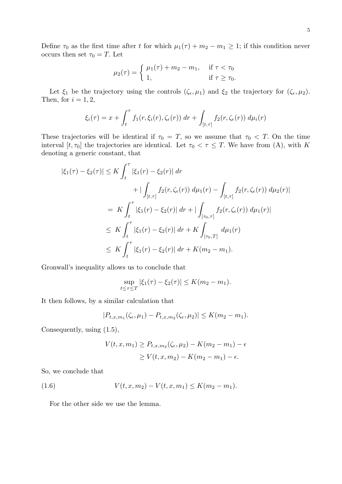Define  $\tau_0$  as the first time after *t* for which  $\mu_1(\tau) + m_2 - m_1 \geq 1$ ; if this condition never occurs then set  $\tau_0 = T$ . Let

$$
\mu_2(\tau) = \begin{cases} \mu_1(\tau) + m_2 - m_1, & \text{if } \tau < \tau_0 \\ 1, & \text{if } \tau \ge \tau_0. \end{cases}
$$

Let  $\xi_1$  be the trajectory using the controls  $(\zeta_{\epsilon}, \mu_1)$  and  $\xi_2$  the trajectory for  $(\zeta_{\epsilon}, \mu_2)$ *.* Then, for  $i = 1, 2$ ,

$$
\xi_i(\tau) = x + \int_t^{\tau} f_1(r, \xi_i(r), \zeta_{\epsilon}(r)) dr + \int_{[t,\tau]} f_2(r, \zeta_{\epsilon}(r)) d\mu_i(r)
$$

These trajectories will be identical if  $\tau_0 = T$ , so we assume that  $\tau_0 < T$ . On the time interval  $[t, \tau_0]$  the trajectories are identical. Let  $\tau_0 < \tau \leq T$ . We have from (A), with *K* denoting a generic constant, that

$$
|\xi_1(\tau) - \xi_2(\tau)| \le K \int_t^{\tau} |\xi_1(r) - \xi_2(r)| dr + |\int_{[t,\tau]} f_2(r, \zeta_{\epsilon}(r)) d\mu_1(r) - \int_{[t,\tau]} f_2(r, \zeta_{\epsilon}(r)) d\mu_2(r)| = K \int_t^{\tau} |\xi_1(r) - \xi_2(r)| dr + |\int_{[\tau_0,\tau]} f_2(r, \zeta_{\epsilon}(r)) d\mu_1(r)| \le K \int_t^{\tau} |\xi_1(r) - \xi_2(r)| dr + K \int_{[\tau_0,T]} d\mu_1(r) \le K \int_t^{\tau} |\xi_1(r) - \xi_2(r)| dr + K(m_2 - m_1).
$$

Gronwall's inequality allows us to conclude that

$$
\sup_{t \le \tau \le T} |\xi_1(\tau) - \xi_2(\tau)| \le K(m_2 - m_1).
$$

It then follows, by a similar calculation that

$$
|P_{t,x,m_1}(\zeta_{\epsilon},\mu_1)-P_{t,x,m_2}(\zeta_{\epsilon},\mu_2)|\leq K(m_2-m_1).
$$

Consequently, using (1.5),

$$
V(t, x, m_1) \ge P_{t, x, m_2}(\zeta_{\epsilon}, \mu_2) - K(m_2 - m_1) - \epsilon
$$
  
 
$$
\ge V(t, x, m_2) - K(m_2 - m_1) - \epsilon.
$$

So, we conclude that

(1.6) 
$$
V(t, x, m_2) - V(t, x, m_1) \leq K(m_2 - m_1).
$$

For the other side we use the lemma.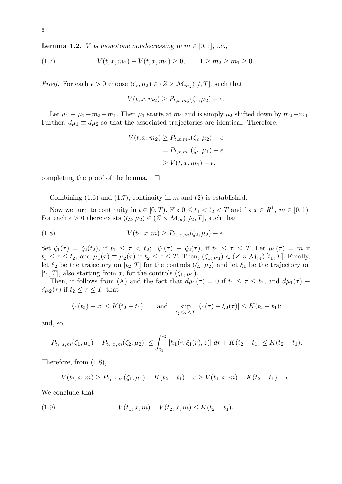**Lemma 1.2.** *V* is monotone nondecreasing in  $m \in [0, 1]$ , i.e.,

(1.7) 
$$
V(t, x, m_2) - V(t, x, m_1) \ge 0, \qquad 1 \ge m_2 \ge m_1 \ge 0.
$$

*Proof.* For each  $\epsilon > 0$  choose  $(\zeta_{\epsilon}, \mu_2) \in (Z \times M_{m_2})$  [*t, T*], such that

$$
V(t, x, m_2) \ge P_{t, x, m_2}(\zeta_{\epsilon}, \mu_2) - \epsilon.
$$

Let  $\mu_1 \equiv \mu_2 - m_2 + m_1$ . Then  $\mu_1$  starts at  $m_1$  and is simply  $\mu_2$  shifted down by  $m_2 - m_1$ . Further,  $d\mu_1 \equiv d\mu_2$  so that the associated trajectories are identical. Therefore,

$$
V(t, x, m_2) \ge P_{t, x, m_2}(\zeta_{\epsilon}, \mu_2) - \epsilon
$$
  
=  $P_{t, x, m_1}(\zeta_{\epsilon}, \mu_1) - \epsilon$   
 $\ge V(t, x, m_1) - \epsilon$ ,

completing the proof of the lemma.  $\square$ 

Combining (1.6) and (1.7), continuity in *m* and (2) is established.

Now we turn to continuity in  $t \in [0, T)$ . Fix  $0 \le t_1 < t_2 < T$  and fix  $x \in R^1$ ,  $m \in [0, 1)$ . For each  $\epsilon > 0$  there exists  $(\zeta_2, \mu_2) \in (Z \times M_m)$  [ $t_2, T$ ], such that

(1.8) 
$$
V(t_2, x, m) \ge P_{t_2, x, m}(\zeta_2, \mu_2) - \epsilon.
$$

Set  $\zeta_1(\tau) = \zeta_2(t_2)$ , if  $t_1 \leq \tau < t_2$ ;  $\zeta_1(\tau) \equiv \zeta_2(\tau)$ , if  $t_2 \leq \tau \leq T$ . Let  $\mu_1(\tau) = m$  if  $t_1 \leq \tau \leq t_2$ , and  $\mu_1(\tau) \equiv \mu_2(\tau)$  if  $t_2 \leq \tau \leq T$ . Then,  $(\zeta_1, \mu_1) \in (Z \times \mathcal{M}_m)[t_1, T]$ . Finally, let  $\xi_2$  be the trajectory on  $[t_2, T]$  for the controls  $(\zeta_2, \mu_2)$  and let  $\xi_1$  be the trajectory on  $[t_1, T]$ , also starting from *x*, for the controls  $(\zeta_1, \mu_1)$ *.* 

Then, it follows from (A) and the fact that  $d\mu_1(\tau) = 0$  if  $t_1 \leq \tau \leq t_2$ , and  $d\mu_1(\tau) \equiv$ *d* $\mu_2(\tau)$  if  $t_2 \leq \tau \leq T$ , that

$$
|\xi_1(t_2) - x| \le K(t_2 - t_1)
$$
 and  $\sup_{t_2 \le \tau \le T} |\xi_1(\tau) - \xi_2(\tau)| \le K(t_2 - t_1);$ 

and, so

$$
|P_{t_1,x,m}(\zeta_1,\mu_1)-P_{t_2,x,m}(\zeta_2,\mu_2)|\leq \int_{t_1}^{t_2}|h_1(r,\xi_1(r),z)|\,dr+K(t_2-t_1)\leq K(t_2-t_1).
$$

Therefore, from (1.8),

$$
V(t_2, x, m) \ge P_{t_1, x, m}(\zeta_1, \mu_1) - K(t_2 - t_1) - \epsilon \ge V(t_1, x, m) - K(t_2 - t_1) - \epsilon.
$$

We conclude that

(1.9) 
$$
V(t_1, x, m) - V(t_2, x, m) \leq K(t_2 - t_1).
$$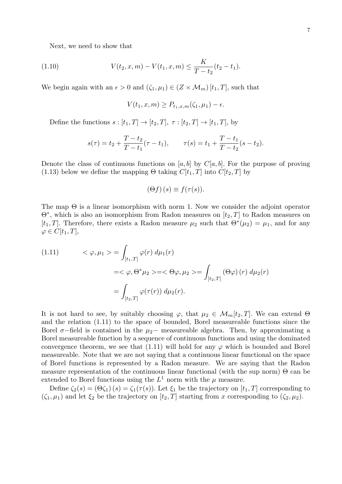Next, we need to show that

(1.10) 
$$
V(t_2, x, m) - V(t_1, x, m) \leq \frac{K}{T - t_2}(t_2 - t_1).
$$

We begin again with an  $\epsilon > 0$  and  $(\zeta_1, \mu_1) \in (Z \times M_m)$  [ $t_1, T$ ], such that

$$
V(t_1, x, m) \ge P_{t_1, x, m}(\zeta_1, \mu_1) - \epsilon.
$$

Define the functions  $s : [t_1, T] \rightarrow [t_2, T], \tau : [t_2, T] \rightarrow [t_1, T],$  by

$$
s(\tau) = t_2 + \frac{T - t_2}{T - t_1}(\tau - t_1), \qquad \tau(s) = t_1 + \frac{T - t_1}{T - t_2}(s - t_2).
$$

Denote the class of continuous functions on [*a, b*] by  $C[a, b]$ . For the purpose of proving (1.13) below we define the mapping  $\Theta$  taking  $C[t_1, T]$  into  $C[t_2, T]$  by

$$
(\Theta f)(s) \equiv f(\tau(s)).
$$

The map  $\Theta$  is a linear isomorphism with norm 1. Now we consider the adjoint operator Θ*<sup>∗</sup> ,* which is also an isomorphism from Radon measures on [*t*2*, T*] to Radon measures on [ $t_1, T$ ]. Therefore, there exists a Radon measure  $\mu_2$  such that  $\Theta^*(\mu_2) = \mu_1$ , and for any  $\varphi \in C[t_1,T],$ 

(1.11) 
$$
\langle \varphi, \mu_1 \rangle = \int_{[t_1, T]} \varphi(r) d\mu_1(r)
$$

$$
= \langle \varphi, \Theta^* \mu_2 \rangle = \langle \Theta \varphi, \mu_2 \rangle = \int_{[t_2, T]} (\Theta \varphi)(r) d\mu_2(r)
$$

$$
= \int_{[t_2, T]} \varphi(\tau(r)) d\mu_2(r).
$$

It is not hard to see, by suitably choosing  $\varphi$ , that  $\mu_2 \in \mathcal{M}_m[t_2,T]$ . We can extend  $\Theta$ and the relation (1.11) to the space of bounded, Borel measureable functions since the Borel  $\sigma$ −field is contained in the  $\mu_2$ − measureable algebra. Then, by approximating a Borel measureable function by a sequence of continuous functions and using the dominated convergence theorem, we see that  $(1.11)$  will hold for any  $\varphi$  which is bounded and Borel measureable. Note that we are not saying that a continuous linear functional on the space of Borel functions is represented by a Radon measure. We are saying that the Radon measure representation of the continuous linear functional (with the sup norm) Θ can be extended to Borel functions using the  $L^1$  norm with the  $\mu$  measure.

Define  $\zeta_2(s) = (\Theta \zeta_1)(s) = \zeta_1(\tau(s))$ . Let  $\xi_1$  be the trajectory on  $[t_1, T]$  corresponding to  $(\zeta_1, \mu_1)$  and let  $\xi_2$  be the trajectory on  $[t_2, T]$  starting from *x* corresponding to  $(\zeta_2, \mu_2)$ .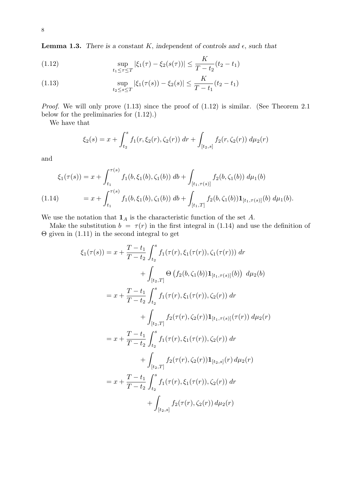**Lemma 1.3.** *There is a constant*  $K$ *, independent of controls and*  $\epsilon$ *, such that* 

(1.12) 
$$
\sup_{t_1 \leq \tau \leq T} |\xi_1(\tau) - \xi_2(s(\tau))| \leq \frac{K}{T - t_2} (t_2 - t_1)
$$

(1.13) 
$$
\sup_{t_2 \le s \le T} |\xi_1(\tau(s)) - \xi_2(s)| \le \frac{K}{T - t_1} (t_2 - t_1)
$$

*Proof.* We will only prove  $(1.13)$  since the proof of  $(1.12)$  is similar. (See Theorem 2.1) below for the preliminaries for (1.12).)

We have that

$$
\xi_2(s) = x + \int_{t_2}^s f_1(r, \xi_2(r), \zeta_2(r)) \, dr + \int_{[t_2, s]} f_2(r, \zeta_2(r)) \, d\mu_2(r)
$$

and

$$
\xi_1(\tau(s)) = x + \int_{t_1}^{\tau(s)} f_1(b, \xi_1(b), \zeta_1(b)) \, db + \int_{[t_1, \tau(s)]} f_2(b, \zeta_1(b)) \, d\mu_1(b)
$$
\n
$$
(1.14) \qquad = x + \int_{t_1}^{\tau(s)} f_1(b, \xi_1(b), \zeta_1(b)) \, db + \int_{[t_1, T]} f_2(b, \zeta_1(b)) \mathbf{1}_{[t_1, \tau(s)]}(b) \, d\mu_1(b).
$$

We use the notation that  $\mathbf{1}_A$  is the characteristic function of the set  $A$ .

Make the substitution  $b = \tau(r)$  in the first integral in (1.14) and use the definition of  $\Theta$  given in (1.11) in the second integral to get

$$
\xi_1(\tau(s)) = x + \frac{T - t_1}{T - t_2} \int_{t_2}^s f_1(\tau(r), \xi_1(\tau(r)), \zeta_1(\tau(r))) dr \n+ \int_{[t_2, T]} \Theta \left( f_2(b, \zeta_1(b)) \mathbf{1}_{[t_1, \tau(s)]}(b) \right) d\mu_2(b) \n= x + \frac{T - t_1}{T - t_2} \int_{t_2}^s f_1(\tau(r), \xi_1(\tau(r)), \zeta_2(r)) dr \n+ \int_{[t_2, T]} f_2(\tau(r), \zeta_2(r)) \mathbf{1}_{[t_1, \tau(s)]}(\tau(r)) d\mu_2(r) \n= x + \frac{T - t_1}{T - t_2} \int_{t_2}^s f_1(\tau(r), \xi_1(\tau(r)), \zeta_2(r)) dr \n+ \int_{[t_2, T]} f_2(\tau(r), \zeta_2(r)) \mathbf{1}_{[t_2, s]}(r) d\mu_2(r) \n= x + \frac{T - t_1}{T - t_2} \int_{t_2}^s f_1(\tau(r), \xi_1(\tau(r)), \zeta_2(r)) dr \n+ \int_{[t_2, s]} f_2(\tau(r), \zeta_2(r)) d\mu_2(r)
$$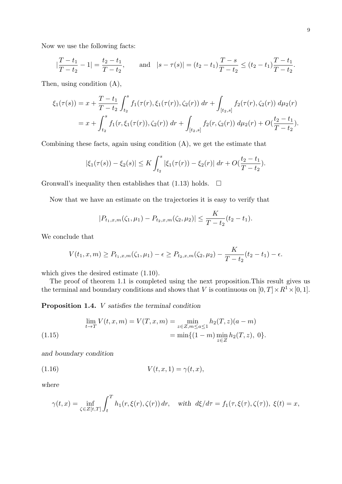Now we use the following facts:

$$
|\frac{T-t_1}{T-t_2}-1|=\frac{t_2-t_1}{T-t_2}, \quad \text{and} \quad |s-\tau(s)|=(t_2-t_1)\frac{T-s}{T-t_2}\leq (t_2-t_1)\frac{T-t_1}{T-t_2}.
$$

Then, using condition (A),

$$
\xi_1(\tau(s)) = x + \frac{T - t_1}{T - t_2} \int_{t_2}^s f_1(\tau(r), \xi_1(\tau(r)), \zeta_2(r)) dr + \int_{[t_2, s]} f_2(\tau(r), \zeta_2(r)) d\mu_2(r)
$$
  
=  $x + \int_{t_2}^s f_1(r, \xi_1(\tau(r)), \zeta_2(r)) dr + \int_{[t_2, s]} f_2(r, \zeta_2(r)) d\mu_2(r) + O(\frac{t_2 - t_1}{T - t_2}).$ 

Combining these facts, again using condition  $(A)$ , we get the estimate that

$$
|\xi_1(\tau(s)) - \xi_2(s)| \leq K \int_{t_2}^s |\xi_1(\tau(r)) - \xi_2(r)| \, dr + O\left(\frac{t_2 - t_1}{T - t_2}\right).
$$

Gronwall's inequality then establishes that  $(1.13)$  holds.  $\Box$ 

Now that we have an estimate on the trajectories it is easy to verify that

$$
|P_{t_1,x,m}(\zeta_1,\mu_1)-P_{t_2,x,m}(\zeta_2,\mu_2)|\leq \frac{K}{T-t_2}(t_2-t_1).
$$

We conclude that

$$
V(t_1, x, m) \ge P_{t_1, x, m}(\zeta_1, \mu_1) - \epsilon \ge P_{t_2, x, m}(\zeta_2, \mu_2) - \frac{K}{T - t_2}(t_2 - t_1) - \epsilon.
$$

which gives the desired estimate (1.10).

The proof of theorem 1.1 is completed using the next proposition.This result gives us the terminal and boundary conditions and shows that *V* is continuous on  $[0, T] \times R^1 \times [0, 1]$ *.* 

**Proposition 1.4.** *V satisfies the terminal condition*

$$
\lim_{t \to T} V(t, x, m) = V(T, x, m) = \min_{z \in Z, m \le a \le 1} h_2(T, z)(a - m)
$$
  
(1.15)  

$$
= \min \{ (1 - m) \min_{z \in Z} h_2(T, z), 0 \}.
$$

*and boundary condition*

$$
(1.16) \t\t\t V(t,x,1) = \gamma(t,x),
$$

*where*

$$
\gamma(t,x) = \inf_{\zeta \in Z[t,T]} \int_t^T h_1(r,\xi(r),\zeta(r)) dr, \quad \text{with } d\xi/d\tau = f_1(\tau,\xi(\tau),\zeta(\tau)), \xi(t) = x,
$$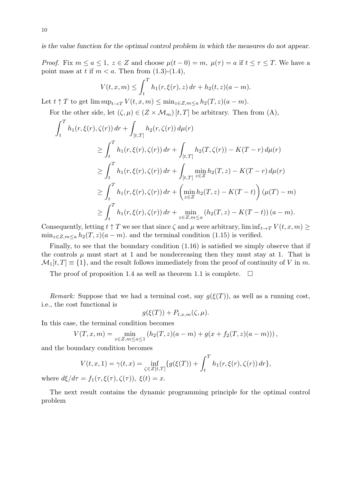*is the value function for the optimal control problem in which the measures do not appear.*

*Proof.* Fix  $m \le a \le 1$ ,  $z \in Z$  and choose  $\mu(t-0) = m$ ,  $\mu(\tau) = a$  if  $t \le \tau \le T$ . We have a point mass at *t* if  $m < a$ . Then from  $(1.3)-(1.4)$ ,

$$
V(t, x, m) \le \int_t^T h_1(r, \xi(r), z) dr + h_2(t, z)(a - m).
$$

Let  $t \uparrow T$  to get  $\limsup_{t \to T} V(t, x, m) \le \min_{z \in Z, m \le a} h_2(T, z)(a - m)$ .

For the other side, let  $(\zeta, \mu) \in (Z \times \mathcal{M}_m)$  [*t*, *T*] be arbitrary. Then from (A),

$$
\int_{t}^{T} h_{1}(r, \xi(r), \zeta(r)) dr + \int_{[t,T]} h_{2}(r, \zeta(r)) d\mu(r)
$$
\n
$$
\geq \int_{t}^{T} h_{1}(r, \xi(r), \zeta(r)) dr + \int_{[t,T]} h_{2}(T, \zeta(r)) - K(T-r) d\mu(r)
$$
\n
$$
\geq \int_{t}^{T} h_{1}(r, \xi(r), \zeta(r)) dr + \int_{[t,T]} \min_{z \in Z} h_{2}(T, z) - K(T-r) d\mu(r)
$$
\n
$$
\geq \int_{t}^{T} h_{1}(r, \xi(r), \zeta(r)) dr + \left( \min_{z \in Z} h_{2}(T, z) - K(T-t) \right) (\mu(T) - m)
$$
\n
$$
\geq \int_{t}^{T} h_{1}(r, \xi(r), \zeta(r)) dr + \min_{z \in Z, m \leq a} (h_{2}(T, z) - K(T-t)) (a - m).
$$

Consequently, letting  $t \uparrow T$  we see that since  $\zeta$  and  $\mu$  were arbitrary, lim inf $t \rightarrow T$   $V(t, x, m) \ge$  $\min_{z \in \mathbb{Z}, m \leq a} h_2(T, z)(a - m)$ *.* and the terminal condition (1.15) is verified.

Finally, to see that the boundary condition (1.16) is satisfied we simply observe that if the controls  $\mu$  must start at 1 and be nondecreasing then they must stay at 1. That is  $M_1[t, T] \equiv \{1\}$ , and the result follows immediately from the proof of continuity of *V* in *m*.

The proof of proposition 1.4 as well as theorem 1.1 is complete.  $\Box$ 

*Remark:* Suppose that we had a terminal cost, say  $q(\xi(T))$ , as well as a running cost, i.e., the cost functional is

$$
g(\xi(T)) + P_{t,x,m}(\zeta,\mu).
$$

In this case, the terminal condition becomes

$$
V(T, x, m) = \min_{z \in Z, m \le a \le 1} (h_2(T, z)(a - m) + g(x + f_2(T, z)(a - m))),
$$

and the boundary condition becomes

$$
V(t, x, 1) = \gamma(t, x) = \inf_{\zeta \in Z[t, T]} \{ g(\xi(T)) + \int_t^T h_1(r, \xi(r), \zeta(r)) dr \},
$$
  

$$
\tau = f_1(\tau, \xi(\tau), \zeta(\tau)) \xi(t) = x
$$

where  $d\xi/d\tau = f_1(\tau, \xi(\tau), \zeta(\tau))$ ,  $\xi(t) = x$ .

The next result contains the dynamic programming principle for the optimal control problem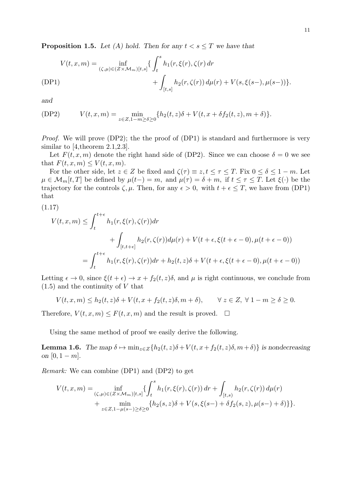**Proposition 1.5.** Let (A) hold. Then for any  $t < s \leq T$  we have that

$$
V(t, x, m) = \inf_{(\zeta, \mu) \in (Z \times \mathcal{M}_m)[t, s]} \{ \int_t^s h_1(r, \xi(r), \zeta(r)) dr + \int_{[t, s]} h_2(r, \zeta(r)) d\mu(r) + V(s, \xi(s-), \mu(s-)) \}.
$$

*and*

$$
(DP2) \tV(t, x, m) = \min_{z \in Z, 1-m \ge \delta \ge 0} \{ h_2(t, z)\delta + V(t, x + \delta f_2(t, z), m + \delta) \}.
$$

*Proof.* We will prove (DP2); the the proof of (DP1) is standard and furthermore is very similar to [4, theorem 2.1, 2.3].

Let  $F(t, x, m)$  denote the right hand side of (DP2). Since we can choose  $\delta = 0$  we see that  $F(t, x, m) \leq V(t, x, m)$ .

For the other side, let  $z \in Z$  be fixed and  $\zeta(\tau) \equiv z, t \leq \tau \leq T$ . Fix  $0 \leq \delta \leq 1 - m$ . Let  $\mu \in \mathcal{M}_m[t, T]$  be defined by  $\mu(t-) = m$ , and  $\mu(\tau) = \delta + m$ , if  $t \leq \tau \leq T$ . Let  $\xi(\cdot)$  be the trajectory for the controls  $\zeta, \mu$ . Then, for any  $\epsilon > 0$ , with  $t + \epsilon \leq T$ , we have from (DP1) that

(1.17)

$$
V(t, x, m) \le \int_{t}^{t+\epsilon} h_1(r, \xi(r), \zeta(r)) dr
$$
  
+ 
$$
\int_{[t, t+\epsilon]} h_2(r, \zeta(r)) d\mu(r) + V(t+\epsilon, \xi(t+\epsilon-0), \mu(t+\epsilon-0))
$$
  
= 
$$
\int_{t}^{t+\epsilon} h_1(r, \xi(r), \zeta(r)) dr + h_2(t, z) \delta + V(t+\epsilon, \xi(t+\epsilon-0), \mu(t+\epsilon-0))
$$

Letting  $\epsilon \to 0$ , since  $\xi(t+\epsilon) \to x + f_2(t,z)\delta$ , and  $\mu$  is right continuous, we conclude from (1.5) and the continuity of *V* that

$$
V(t, x, m) \le h_2(t, z)\delta + V(t, x + f_2(t, z)\delta, m + \delta), \qquad \forall z \in Z, \ \forall \ 1 - m \ge \delta \ge 0.
$$

Therefore,  $V(t, x, m) \leq F(t, x, m)$  and the result is proved.  $\square$ 

Using the same method of proof we easily derive the following.

**Lemma 1.6.** *The map*  $\delta \mapsto \min_{z \in Z} \{ h_2(t, z) \delta + V(t, x + f_2(t, z) \delta, m + \delta) \}$  *is nondecreasing on*  $[0, 1 - m]$ .

*Remark:* We can combine (DP1) and (DP2) to get

$$
V(t, x, m) = \inf_{(\zeta, \mu) \in (Z \times \mathcal{M}_m)[t, s]} \{ \int_t^s h_1(r, \xi(r), \zeta(r)) dr + \int_{[t, s)} h_2(r, \zeta(r)) d\mu(r) + \min_{z \in Z, 1 - \mu(s-) \ge \delta \ge 0} \{ h_2(s, z)\delta + V(s, \xi(s-) + \delta f_2(s, z), \mu(s-) + \delta) \} \}.
$$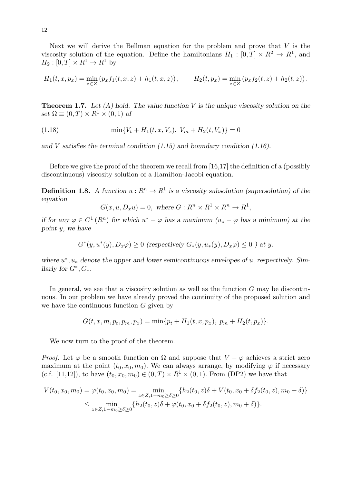Next we will derive the Bellman equation for the problem and prove that *V* is the viscosity solution of the equation. Define the hamiltonians  $H_1 : [0, T] \times R^2 \to R^1$ , and  $H_2 : [0, T] \times R^1 \to R^1$  by

$$
H_1(t, x, p_x) = \min_{z \in Z} (p_x f_1(t, x, z) + h_1(t, x, z)), \qquad H_2(t, p_x) = \min_{z \in Z} (p_x f_2(t, z) + h_2(t, z)).
$$

**Theorem 1.7.** *Let (A) hold. The value function V is the unique viscosity solution on the set*  $\Omega \equiv (0, T) \times R^1 \times (0, 1)$  *of* 

(1.18) 
$$
\min\{V_t + H_1(t, x, V_x), V_m + H_2(t, V_x)\} = 0
$$

*and V satisfies the terminal condition (1.15) and boundary condition (1.16).*

Before we give the proof of the theorem we recall from [16,17] the definition of a (possibly discontinuous) viscosity solution of a Hamilton-Jacobi equation.

**Definition 1.8.** *A function*  $u: R^n \to R^1$  *is a viscosity subsolution (supersolution) of the equation*

$$
G(x, u, D_x u) = 0, \text{ where } G: R^n \times R^1 \times R^n \to R^1,
$$

*if for any*  $\varphi \in C^1(R^n)$  *for which*  $u^* - \varphi$  *has a maximum*  $(u_* - \varphi$  *has a minimum) at the point y, we have*

 $G^*(y, u^*(y), D_x \varphi) \ge 0$  (respectively  $G_*(y, u_*(y), D_x \varphi) \le 0$ ) at y.

*where*  $u^*$ ,  $u_*$  denote the upper and lower semicontinuous envelopes of  $u$ , respectively. Sim*ilarly for*  $G^*$ *,*  $G_*$ *.* 

In general, we see that a viscosity solution as well as the function *G* may be discontinuous. In our problem we have already proved the continuity of the proposed solution and we have the continuous function *G* given by

$$
G(t, x, m, p_t, p_m, p_x) = \min\{p_t + H_1(t, x, p_x), p_m + H_2(t, p_x)\}.
$$

We now turn to the proof of the theorem.

*Proof.* Let  $\varphi$  be a smooth function on  $\Omega$  and suppose that  $V - \varphi$  achieves a strict zero maximum at the point  $(t_0, x_0, m_0)$ . We can always arrange, by modifying  $\varphi$  if necessary (c.f. [11,12]), to have  $(t_0, x_0, m_0) \in (0, T) \times R^1 \times (0, 1)$ . From (DP2) we have that

$$
V(t_0, x_0, m_0) = \varphi(t_0, x_0, m_0) = \min_{z \in Z, 1 - m_0 \ge \delta \ge 0} \{ h_2(t_0, z)\delta + V(t_0, x_0 + \delta f_2(t_0, z), m_0 + \delta) \}
$$
  
\$\le \min\_{z \in Z, 1 - m\_0 \ge \delta \ge 0} \{ h\_2(t\_0, z)\delta + \varphi(t\_0, x\_0 + \delta f\_2(t\_0, z), m\_0 + \delta) \}.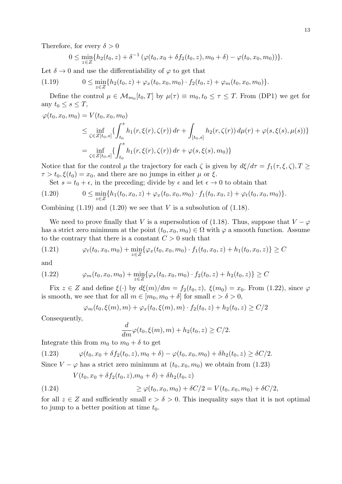Therefore, for every  $\delta > 0$ 

$$
0 \leq \min_{z \in Z} \{ h_2(t_0, z) + \delta^{-1} \left( \varphi(t_0, x_0 + \delta f_2(t_0, z), m_0 + \delta) - \varphi(t_0, x_0, m_0) \right) \}.
$$

Let  $\delta \rightarrow 0$  and use the differentiability of  $\varphi$  to get that

(1.19)  $0 \le \min_{z \in Z} \{h_2(t_0, z) + \varphi_x(t_0, x_0, m_0) \cdot f_2(t_0, z) + \varphi_m(t_0, x_0, m_0)\}.$ 

Define the control  $\mu \in \mathcal{M}_{m_0}[t_0, T]$  by  $\mu(\tau) \equiv m_0, t_0 \leq \tau \leq T$ . From (DP1) we get for any  $t_0 \leq s \leq T$ ,

$$
\varphi(t_0, x_0, m_0) = V(t_0, x_0, m_0)
$$
  
\n
$$
\leq \inf_{\zeta \in Z[t_0, s]} \{ \int_{t_0}^s h_1(r, \xi(r), \zeta(r)) dr + \int_{[t_0, s]} h_2(r, \zeta(r)) d\mu(r) + \varphi(s, \xi(s), \mu(s)) \}
$$
  
\n
$$
= \inf_{\zeta \in Z[t_0, s]} \{ \int_{t_0}^s h_1(r, \xi(r), \zeta(r)) dr + \varphi(s, \xi(s), m_0) \}
$$

Notice that for the control  $\mu$  the trajectory for each  $\zeta$  is given by  $d\xi/d\tau = f_1(\tau, \xi, \zeta), T \geq$  $\tau > t_0, \xi(t_0) = x_0$ , and there are no jumps in either  $\mu$  or  $\xi$ .

Set  $s = t_0 + \epsilon$ , in the preceding; divide by  $\epsilon$  and let  $\epsilon \to 0$  to obtain that

$$
(1.20) \t 0 \le \min_{z \in Z} \{ h_1(t_0, x_0, z) + \varphi_x(t_0, x_0, m_0) \cdot f_1(t_0, x_0, z) + \varphi_t(t_0, x_0, m_0) \}.
$$

Combining  $(1.19)$  and  $(1.20)$  we see that *V* is a subsolution of  $(1.18)$ .

We need to prove finally that *V* is a supersolution of (1.18). Thus, suppose that  $V - \varphi$ has a strict zero minimum at the point  $(t_0, x_0, m_0) \in \Omega$  with  $\varphi$  a smooth function. Assume to the contrary that there is a constant  $C > 0$  such that

$$
(1.21) \qquad \varphi_t(t_0, x_0, m_0) + \min_{z \in Z} \{ \varphi_x(t_0, x_0, m_0) \cdot f_1(t_0, x_0, z) + h_1(t_0, x_0, z) \} \ge C
$$

and

(1.22) 
$$
\varphi_m(t_0, x_0, m_0) + \min_{z \in Z} \{ \varphi_x(t_0, x_0, m_0) \cdot f_2(t_0, z) + h_2(t_0, z) \} \geq C
$$

Fix  $z \in Z$  and define  $\xi(\cdot)$  by  $d\xi(m)/dm = f_2(t_0, z)$ ,  $\xi(m_0) = x_0$ . From (1.22), since  $\varphi$ is smooth, we see that for all  $m \in [m_0, m_0 + \delta]$  for small  $e > \delta > 0$ ,

$$
\varphi_m(t_0, \xi(m), m) + \varphi_x(t_0, \xi(m), m) \cdot f_2(t_0, z) + h_2(t_0, z) \ge C/2
$$

Consequently,

$$
\frac{d}{dm}\varphi(t_0,\xi(m),m) + h_2(t_0,z) \ge C/2.
$$

Integrate this from  $m_0$  to  $m_0 + \delta$  to get

$$
(1.23) \qquad \varphi(t_0, x_0 + \delta f_2(t_0, z), m_0 + \delta) - \varphi(t_0, x_0, m_0) + \delta h_2(t_0, z) \ge \delta C/2.
$$

Since  $V - \varphi$  has a strict zero minimum at  $(t_0, x_0, m_0)$  we obtain from (1.23)

$$
V(t_0, x_0 + \delta f_2(t_0, z), m_0 + \delta) + \delta h_2(t_0, z)
$$

(1.24) 
$$
\geq \varphi(t_0, x_0, m_0) + \delta C/2 = V(t_0, x_0, m_0) + \delta C/2,
$$

for all  $z \in Z$  and sufficiently small  $e > \delta > 0$ . This inequality says that it is not optimal to jump to a better position at time *t*0*.*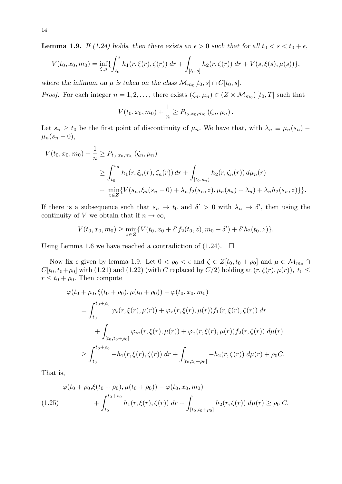**Lemma 1.9.** *If (1.24) holds, then there exists an*  $\epsilon > 0$  *such that for all*  $t_0 < s < t_0 + \epsilon$ ,

$$
V(t_0, x_0, m_0) = \inf_{\zeta, \mu} \{ \int_{t_0}^s h_1(r, \xi(r), \zeta(r)) dr + \int_{[t_0, s]} h_2(r, \zeta(r)) dr + V(s, \xi(s), \mu(s)) \},
$$

*where the infimum on*  $\mu$  *is taken on the class*  $\mathcal{M}_{m_0}[t_0, s] \cap C[t_0, s]$ .

*Proof.* For each integer  $n = 1, 2, \ldots$ , there exists  $(\zeta_n, \mu_n) \in (Z \times M_{m_0})$  [ $t_0, T$ ] such that

$$
V(t_0, x_0, m_0) + \frac{1}{n} \ge P_{t_0, x_0, m_0} (\zeta_n, \mu_n).
$$

Let  $s_n \ge t_0$  be the first point of discontinuity of  $\mu_n$ . We have that, with  $\lambda_n \equiv \mu_n(s_n) - \mu_n(s_n)$  $\mu_n(s_n - 0)$ ,

$$
V(t_0, x_0, m_0) + \frac{1}{n} \ge P_{t_0, x_0, m_0}(\zeta_n, \mu_n)
$$
  
\n
$$
\ge \int_{t_0}^{s_n} h_1(r, \xi_n(r), \zeta_n(r)) dr + \int_{[t_0, s_n)} h_2(r, \zeta_n(r)) d\mu_n(r)
$$
  
\n
$$
+ \min_{z \in Z} \{ V(s_n, \xi_n(s_n - 0) + \lambda_n f_2(s_n, z), \mu_n(s_n) + \lambda_n) + \lambda_n h_2(s_n, z) \} \}.
$$

If there is a subsequence such that  $s_n \to t_0$  and  $\delta' > 0$  with  $\lambda_n \to \delta'$ , then using the continuity of *V* we obtain that if  $n \to \infty$ ,

$$
V(t_0, x_0, m_0) \ge \min_{z \in Z} \{ V(t_0, x_0 + \delta' f_2(t_0, z), m_0 + \delta') + \delta' h_2(t_0, z) \}.
$$

Using Lemma 1.6 we have reached a contradiction of  $(1.24)$ .  $\Box$ 

Now fix  $\epsilon$  given by lemma 1.9. Let  $0 < \rho_0 < \epsilon$  and  $\zeta \in Z[t_0, t_0 + \rho_0]$  and  $\mu \in \mathcal{M}_{m_0} \cap I$ *C*[ $t_0, t_0 + \rho_0$ ] with (1.21) and (1.22) (with *C* replaced by *C/*2) holding at  $(r, \xi(r), \mu(r))$ *,*  $t_0 \le$  $r \le t_0 + \rho_0$ . Then compute

$$
\varphi(t_0 + \rho_0, \xi(t_0 + \rho_0), \mu(t_0 + \rho_0)) - \varphi(t_0, x_0, m_0)
$$
  
= 
$$
\int_{t_0}^{t_0 + \rho_0} \varphi_t(r, \xi(r), \mu(r)) + \varphi_x(r, \xi(r), \mu(r)) f_1(r, \xi(r), \zeta(r)) dr
$$
  
+ 
$$
\int_{[t_0, t_0 + \rho_0]} \varphi_m(r, \xi(r), \mu(r)) + \varphi_x(r, \xi(r), \mu(r)) f_2(r, \zeta(r)) d\mu(r)
$$
  

$$
\geq \int_{t_0}^{t_0 + \rho_0} -h_1(r, \xi(r), \zeta(r)) dr + \int_{[t_0, t_0 + \rho_0]} -h_2(r, \zeta(r)) d\mu(r) + \rho_0 C.
$$

That is,

$$
\varphi(t_0 + \rho_0, \xi(t_0 + \rho_0), \mu(t_0 + \rho_0)) - \varphi(t_0, x_0, m_0)
$$
  
(1.25) 
$$
+ \int_{t_0}^{t_0 + \rho_0} h_1(r, \xi(r), \zeta(r)) dr + \int_{[t_0, t_0 + \rho_0]} h_2(r, \zeta(r)) d\mu(r) \ge \rho_0 C.
$$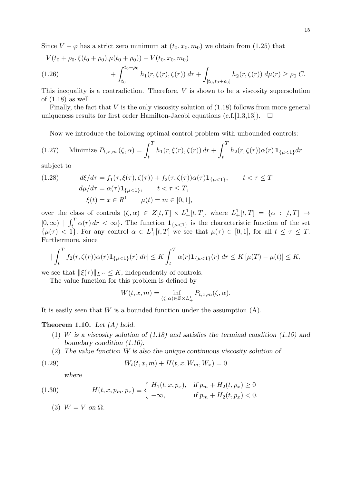Since  $V - \varphi$  has a strict zero minimum at  $(t_0, x_0, m_0)$  we obtain from (1.25) that

$$
V(t_0 + \rho_0, \xi(t_0 + \rho_0), \mu(t_0 + \rho_0)) - V(t_0, x_0, m_0)
$$
  
(1.26) 
$$
+ \int_{t_0}^{t_0 + \rho_0} h_1(r, \xi(r), \zeta(r)) dr + \int_{[t_0, t_0 + \rho_0]} h_2(r, \zeta(r)) d\mu(r) \ge \rho_0 C.
$$

This inequality is a contradiction. Therefore, *V* is shown to be a viscosity supersolution of (1.18) as well.

Finally, the fact that *V* is the only viscosity solution of (1.18) follows from more general uniqueness results for first order Hamilton-Jacobi equations (c.f. [1,3,13]).  $\Box$ 

Now we introduce the following optimal control problem with unbounded controls:

(1.27) Minimize 
$$
P_{t,x,m}(\zeta, \alpha) = \int_t^T h_1(r, \xi(r), \zeta(r)) dr + \int_t^T h_2(r, \zeta(r)) \alpha(r) \mathbf{1}_{\{\mu < 1\}} dr
$$

subject to

(1.28) 
$$
d\xi/d\tau = f_1(\tau, \xi(\tau), \zeta(\tau)) + f_2(\tau, \zeta(\tau))\alpha(\tau) \mathbf{1}_{\{\mu < 1\}}, \qquad t < \tau \le T
$$

$$
d\mu/d\tau = \alpha(\tau) \mathbf{1}_{\{\mu < 1\}}, \qquad t < \tau \le T,
$$

$$
\xi(t) = x \in R^1 \qquad \mu(t) = m \in [0, 1],
$$

over the class of controls  $(\zeta, \alpha) \in Z[t, T] \times L^1_+[t, T]$ , where  $L^1_+[t, T] = {\alpha : [t, T]} \rightarrow$  $[0, \infty)$  |  $\int_t^T \alpha(r) dr < \infty$ . The function  $\mathbf{1}_{\{\mu < 1\}}$  is the characteristic function of the set  $\{\mu(\tau) < 1\}$ . For any control  $\alpha \in L^1_+[t,T]$  we see that  $\mu(\tau) \in [0,1]$ , for all  $t \leq \tau \leq T$ . Furthermore, since

$$
\left| \int_{t}^{T} f_{2}(r, \zeta(r)) \alpha(r) \mathbf{1}_{\{\mu < 1\}}(r) \, dr \right| \leq K \int_{t}^{T} \alpha(r) \mathbf{1}_{\{\mu < 1\}}(r) \, dr \leq K \left[ \mu(T) - \mu(t) \right] \leq K,
$$

we see that  $\|\xi(\tau)\|_{L^{\infty}} \leq K$ , independently of controls.

The value function for this problem is defined by

$$
W(t, x, m) = \inf_{(\zeta,\alpha)\in Z\times L^1_+} P_{t,x,m}(\zeta,\alpha).
$$

It is easily seen that *W* is a bounded function under the assumption (A).

#### **Theorem 1.10.** *Let (A) hold.*

- (1) *W is a viscosity solution of (1.18) and satisfies the terminal condition (1.15) and boundary condition (1.16).*
- (2) *The value function W is also the unique continuous viscosity solution of*

(1.29) 
$$
W_t(t, x, m) + H(t, x, W_m, W_x) = 0
$$

*where*

(1.30) 
$$
H(t, x, p_m, p_x) \equiv \begin{cases} H_1(t, x, p_x), & \text{if } p_m + H_2(t, p_x) \ge 0 \\ -\infty, & \text{if } p_m + H_2(t, p_x) < 0. \end{cases}
$$

(3)  $W = V$  on  $\overline{\Omega}$ .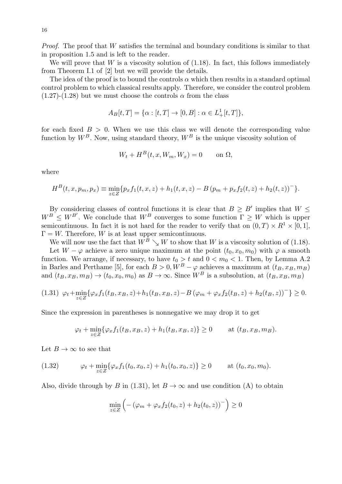*Proof.* The proof that *W* satisfies the terminal and boundary conditions is similar to that in proposition 1.5 and is left to the reader.

We will prove that  $W$  is a viscosity solution of  $(1.18)$ . In fact, this follows immediately from Theorem I.1 of [2] but we will provide the details.

The idea of the proof is to bound the controls  $\alpha$  which then results in a standard optimal control problem to which classical results apply. Therefore, we consider the control problem (1.27)-(1.28) but we must choose the controls  $\alpha$  from the class

$$
A_B[t,T]=\{\alpha:[t,T]\rightarrow [0,B]: \alpha\in L^1_+[t,T]\},
$$

for each fixed  $B > 0$ . When we use this class we will denote the corresponding value function by  $W^B$ . Now, using standard theory,  $W^B$  is the unique viscosity solution of

$$
W_t + H^B(t, x, W_m, W_x) = 0 \quad \text{on } \Omega,
$$

where

$$
H^{B}(t, x, p_{m}, p_{x}) \equiv \min_{z \in Z} \{ p_{x} f_{1}(t, x, z) + h_{1}(t, x, z) - B (p_{m} + p_{x} f_{2}(t, z) + h_{2}(t, z))^{-} \}.
$$

By considering classes of control functions it is clear that  $B \geq B'$  implies that  $W \leq$  $W^B \leq W^{B'}$ . We conclude that  $W^B$  converges to some function  $\Gamma \geq W$  which is upper semicontinuous. In fact it is not hard for the reader to verify that on  $(0, T) \times R^1 \times [0, 1]$ ,  $\Gamma = W$ . Therefore, *W* is at least upper semicontinuous.

We will now use the fact that  $\hat{W}^{\hat{B}} \searrow W$  to show that *W* is a viscosity solution of (1.18). Let  $W - \varphi$  achieve a zero unique maximum at the point  $(t_0, x_0, m_0)$  with  $\varphi$  a smooth function. We arrange, if necessary, to have  $t_0 > t$  and  $0 < m_0 < 1$ . Then, by Lemma A.2 in Barles and Perthame [5], for each  $B > 0$ ,  $W^B - \varphi$  achieves a maximum at  $(t_B, x_B, m_B)$ and  $(t_B, x_B, m_B) \rightarrow (t_0, x_0, m_0)$  as  $B \rightarrow \infty$ . Since  $W^B$  is a subsolution, at  $(t_B, x_B, m_B)$ 

$$
(1.31) \varphi_t + \min_{z \in Z} \{ \varphi_x f_1(t_B, x_B, z) + h_1(t_B, x_B, z) - B(\varphi_m + \varphi_x f_2(t_B, z) + h_2(t_B, z))^{-} \} \ge 0.
$$

Since the expression in parentheses is nonnegative we may drop it to get

$$
\varphi_t + \min_{z \in Z} \{ \varphi_x f_1(t_B, x_B, z) + h_1(t_B, x_B, z) \} \ge 0 \quad \text{at } (t_B, x_B, m_B).
$$

Let  $B \to \infty$  to see that

(1.32) 
$$
\varphi_t + \min_{z \in Z} \{ \varphi_x f_1(t_0, x_0, z) + h_1(t_0, x_0, z) \} \ge 0 \quad \text{at } (t_0, x_0, m_0).
$$

Also, divide through by *B* in (1.31), let  $B \to \infty$  and use condition (A) to obtain

$$
\min_{z \in Z} \left( -(\varphi_m + \varphi_x f_2(t_0, z) + h_2(t_0, z))^-\right) \ge 0
$$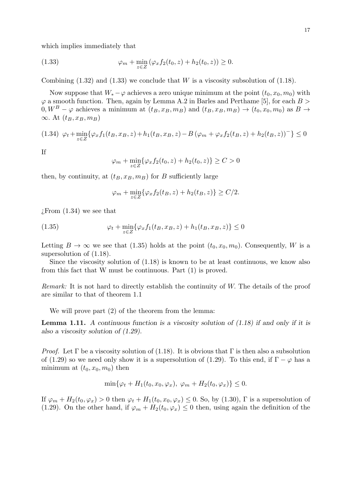which implies immediately that

(1.33) 
$$
\varphi_m + \min_{z \in Z} (\varphi_x f_2(t_0, z) + h_2(t_0, z)) \ge 0.
$$

Combining  $(1.32)$  and  $(1.33)$  we conclude that *W* is a viscosity subsolution of  $(1.18)$ .

Now suppose that  $W_* - \varphi$  achieves a zero unique minimum at the point  $(t_0, x_0, m_0)$  with *φ* a smooth function. Then, again by Lemma A.2 in Barles and Perthame [5], for each *B >*  $0, W^B - \varphi$  achieves a minimum at  $(t_B, x_B, m_B)$  and  $(t_B, x_B, m_B) \to (t_0, x_0, m_0)$  as  $B \to$  $\infty$ *.* At  $(t_B, x_B, m_B)$ 

$$
(1.34) \varphi_t + \min_{z \in Z} \{ \varphi_x f_1(t_B, x_B, z) + h_1(t_B, x_B, z) - B(\varphi_m + \varphi_x f_2(t_B, z) + h_2(t_B, z)) \} \le 0
$$

If

$$
\varphi_m + \min_{z \in Z} \{ \varphi_x f_2(t_0, z) + h_2(t_0, z) \} \ge C > 0
$$

then, by continuity, at  $(t_B, x_B, m_B)$  for *B* sufficiently large

$$
\varphi_m + \min_{z \in Z} \{ \varphi_x f_2(t_B, z) + h_2(t_B, z) \} \ge C/2.
$$

 $i$ . From  $(1.34)$  we see that

(1.35) 
$$
\varphi_t + \min_{z \in Z} \{ \varphi_x f_1(t_B, x_B, z) + h_1(t_B, x_B, z) \} \le 0
$$

Letting  $B \to \infty$  we see that (1.35) holds at the point  $(t_0, x_0, m_0)$ . Consequently, *W* is a supersolution of (1.18).

Since the viscosity solution of (1.18) is known to be at least continuous, we know also from this fact that W must be continuous. Part (1) is proved.

*Remark:* It is not hard to directly establish the continuity of *W.* The details of the proof are similar to that of theorem 1.1

We will prove part (2) of the theorem from the lemma:

**Lemma 1.11.** *A continuous function is a viscosity solution of (1.18) if and only if it is also a viscosity solution of (1.29).*

*Proof.* Let  $\Gamma$  be a viscosity solution of (1.18). It is obvious that  $\Gamma$  is then also a subsolution of (1.29) so we need only show it is a supersolution of (1.29). To this end, if  $\Gamma - \varphi$  has a minimum at  $(t_0, x_0, m_0)$  then

$$
\min\{\varphi_t + H_1(t_0, x_0, \varphi_x), \ \varphi_m + H_2(t_0, \varphi_x)\} \le 0.
$$

If  $\varphi_m + H_2(t_0, \varphi_x) > 0$  then  $\varphi_t + H_1(t_0, x_0, \varphi_x) \leq 0$ . So, by (1.30),  $\Gamma$  is a supersolution of (1.29). On the other hand, if  $\varphi_m + H_2(t_0, \varphi_x) \leq 0$  then, using again the definition of the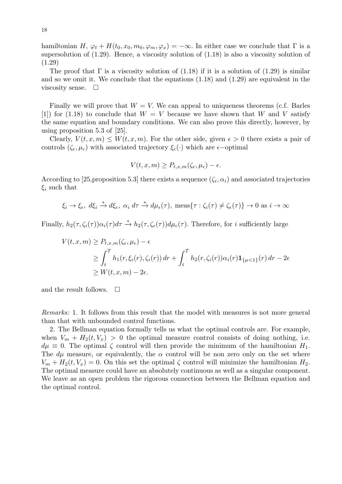hamiltonian *H*,  $\varphi_t$  +  $H(t_0, x_0, m_0, \varphi_m, \varphi_x) = -\infty$ . In either case we conclude that Γ is a supersolution of (1.29). Hence, a viscosity solution of (1.18) is also a viscosity solution of (1.29)

The proof that  $\Gamma$  is a viscosity solution of (1.18) if it is a solution of (1.29) is similar and so we omit it. We conclude that the equations (1.18) and (1.29) are equivalent in the viscosity sense.  $\Box$ 

Finally we will prove that  $W = V$ . We can appeal to uniqueness theorems (c.f. Barles  $[1]$  for  $(1.18)$  to conclude that  $W = V$  because we have shown that *W* and *V* satisfy the same equation and boundary conditions. We can also prove this directly, however, by using proposition 5.3 of [25].

Clearly,  $V(t, x, m) \leq W(t, x, m)$ . For the other side, given  $\epsilon > 0$  there exists a pair of controls  $(\zeta_{\epsilon}, \mu_{\epsilon})$  with associated trajectory  $\xi_{\epsilon}(\cdot)$  which are  $\epsilon$ -optimal

$$
V(t, x, m) \ge P_{t, x, m}(\zeta_{\epsilon}, \mu_{\epsilon}) - \epsilon.
$$

According to [25,proposition 5.3] there exists a sequence  $(\zeta_i, \alpha_i)$  and associated trajectories  $\xi_i$  such that

$$
\xi_i \to \xi_{\epsilon}, d\xi_i \stackrel{*}{\to} d\xi_{\epsilon}, \alpha_i d\tau \stackrel{*}{\to} d\mu_{\epsilon}(\tau), \text{ meas}\{\tau : \zeta_i(\tau) \neq \zeta_{\epsilon}(\tau)\} \to 0 \text{ as } i \to \infty
$$

Finally,  $h_2(\tau, \zeta_i(\tau))\alpha_i(\tau)d\tau \stackrel{*}{\to} h_2(\tau, \zeta_i(\tau))d\mu_{\epsilon}(\tau)$ . Therefore, for i sufficiently large

$$
V(t, x, m) \ge P_{t, x, m}(\zeta_{\epsilon}, \mu_{\epsilon}) - \epsilon
$$
  
\n
$$
\ge \int_{t}^{T} h_{1}(r, \xi_{i}(r), \zeta_{i}(r)) dr + \int_{t}^{T} h_{2}(r, \zeta_{i}(r)) \alpha_{i}(r) \mathbf{1}_{\{\mu < 1\}}(r) dr - 2\epsilon
$$
  
\n
$$
\ge W(t, x, m) - 2\epsilon.
$$

and the result follows.  $\Box$ 

*Remarks:* 1. It follows from this result that the model with measures is not more general than that with unbounded control functions.

2. The Bellman equation formally tells us what the optimal controls are. For example, when  $V_m + H_2(t, V_x) > 0$  the optimal measure control consists of doing nothing, i.e.  $d\mu \equiv 0$ . The optimal  $\zeta$  control will then provide the minimum of the hamiltonian  $H_1$ . The  $d\mu$  measure, or equivalently, the  $\alpha$  control will be non zero only on the set where  $V_m + H_2(t, V_x) = 0$ . On this set the optimal  $\zeta$  control will minimize the hamiltonian  $H_2$ . The optimal measure could have an absolutely continuous as well as a singular component. We leave as an open problem the rigorous connection between the Bellman equation and the optimal control.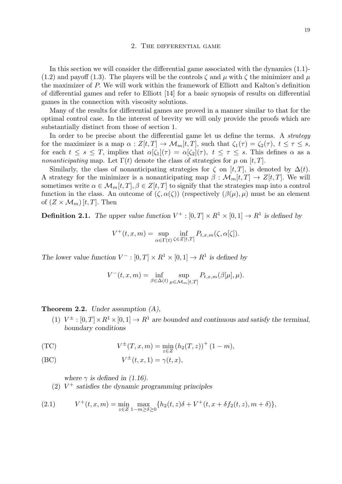#### 2. The differential game

In this section we will consider the differential game associated with the dynamics  $(1.1)$ -(1.2) and payoff (1.3). The players will be the controls  $\zeta$  and  $\mu$  with  $\zeta$  the minimizer and  $\mu$ the maximizer of *P.* We will work within the framework of Elliott and Kalton's definition of differential games and refer to Elliott [14] for a basic synopsis of results on differential games in the connection with viscosity solutions.

Many of the results for differential games are proved in a manner similar to that for the optimal control case. In the interest of brevity we will only provide the proofs which are substantially distinct from those of section 1.

In order to be precise about the differential game let us define the terms. A *strategy* for the maximizer is a map  $\alpha$  :  $Z[t,T] \to \mathcal{M}_m[t,T]$ , such that  $\zeta_1(\tau) = \zeta_2(\tau)$ ,  $t \leq \tau \leq s$ , for each  $t \leq s \leq T$ , implies that  $\alpha[\zeta_1](\tau) = \alpha[\zeta_2](\tau)$ ,  $t \leq \tau \leq s$ . This defines  $\alpha$  as a *nonanticipating* map. Let  $\Gamma(t)$  denote the class of strategies for  $\mu$  on [*t, T*].

Similarly, the class of nonanticipating strategies for  $\zeta$  on [*t,T*], is denoted by  $\Delta(t)$ *.* A strategy for the minimizer is a nonanticipating map  $\beta : \mathcal{M}_m[t,T] \to Z[t,T]$ . We will sometimes write  $\alpha \in \mathcal{M}_m[t,T], \beta \in \mathbb{Z}[t,T]$  to signify that the strategies map into a control function in the class. An outcome of  $(\zeta, \alpha(\zeta))$  (respectively  $(\beta(\mu), \mu)$ ) must be an element of  $(Z \times \mathcal{M}_m)[t, T]$ . Then

**Definition 2.1.** The upper value function  $V^+ : [0, T] \times R^1 \times [0, 1] \rightarrow R^1$  is defined by

$$
V^+(t,x,m) = \sup_{\alpha \in \Gamma(t)} \inf_{\zeta \in Z[t,T]} P_{t,x,m}(\zeta,\alpha[\zeta]).
$$

*The lower value function*  $V^- : [0, T] \times R^1 \times [0, 1] \rightarrow R^1$  *is defined by* 

$$
V^-(t, x, m) = \inf_{\beta \in \Delta(t)} \sup_{\mu \in \mathcal{M}_m[t, T]} P_{t, x, m}(\beta[\mu], \mu).
$$

**Theorem 2.2.** *Under assumption (A),*

(1)  $V^{\pm}$  :  $[0, T] \times R^1 \times [0, 1] \rightarrow R^1$  are bounded and continuous and satisfy the terminal, *boundary conditions*

(TC) 
$$
V^{\pm}(T, x, m) = \min_{z \in Z} (h_2(T, z))^+(1 - m),
$$

$$
(BC) \t\t V^{\pm}(t, x, 1) = \gamma(t, x),
$$

*where*  $\gamma$  *is defined in (1.16).* 

(2) *V* <sup>+</sup> *satisfies the dynamic programming principles*

(2.1) 
$$
V^+(t,x,m) = \min_{z \in Z} \max_{1-m \ge \delta \ge 0} \{ h_2(t,z)\delta + V^+(t,x+\delta f_2(t,z),m+\delta) \},
$$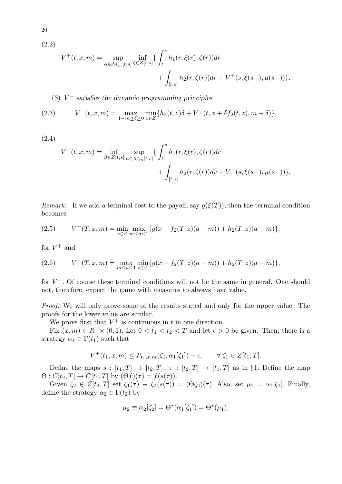(2.2)

$$
V^+(t,x,m) = \sup_{\alpha \in \mathcal{M}_m[t,s]} \inf_{\zeta \in Z[t,s]} \{ \int_t^s h_1(r,\xi(r),\zeta(r)) dr + \int_{[t,s]} h_2(r,\zeta(r)) dr + V^+(s,\xi(s-),\mu(s-)) \}.
$$

(3) *V <sup>−</sup> satisfies the dynamic programming principles*

(2.3) 
$$
V^-(t,x,m) = \max_{1-m \ge \delta \ge 0} \min_{z \in Z} \{ h_2(t,z)\delta + V^-(t,x+\delta f_2(t,z),m+\delta) \},
$$

(2.4)

$$
V^-(t, x, m) = \inf_{\beta \in Z[t, s]} \sup_{\mu \in \mathcal{M}_m[t, s]} \{ \int_t^s h_1(r, \xi(r), \zeta(r)) dr + \int_{[t, s]} h_2(r, \zeta(r)) dr + V^-(s, \xi(s-), \mu(s-)) \}.
$$

*Remark:* If we add a terminal cost to the payoff, say  $g(\xi(T))$ , then the terminal condition becomes

(2.5) 
$$
V^+(T,x,m) = \min_{z \in Z} \max_{m \le a \le 1} \{ g(x + f_2(T,z)(a-m)) + h_2(T,z)(a-m) \},
$$

for  $V^+$  and

(2.6) 
$$
V^-(T, x, m) = \max_{m \le a \le 1} \min_{z \in Z} \{ g(x + f_2(T, z)(a - m)) + h_2(T, z)(a - m) \},
$$

for *V <sup>−</sup>.* Of course these terminal conditions will not be the same in general. One should not, therefore, expect the game with measures to always have value.

*Proof.* We will only prove some of the results stated and only for the upper value. The proofs for the lower value are similar.

We prove first that  $V^+$  is continuous in  $t$  in one direction.

Fix  $(x, m) \in R^1 \times (0, 1)$ *.* Let  $0 < t_1 < t_2 < T$  and let  $\epsilon > 0$  be given. Then, there is a strategy  $\alpha_1 \in \Gamma(t_1)$  such that

$$
V^+(t_1, x, m) \le P_{t_1, x, m}(\zeta_1, \alpha_1[\zeta_1]) + \epsilon, \qquad \forall \ \zeta_1 \in Z[t_1, T].
$$

Define the maps  $s : [t_1, T] \rightarrow [t_2, T], \tau : [t_2, T] \rightarrow [t_1, T]$  as in §1. Define the map  $\Theta: C[t_2, T] \to C[t_1, T]$  by  $(\Theta f)(\tau) = f(s(\tau)).$ 

Given  $\zeta_2 \in Z[t_2, T]$  set  $\zeta_1(\tau) \equiv \zeta_2(s(\tau)) = (\Theta \zeta_2)(\tau)$ . Also, set  $\mu_1 = \alpha_1[\zeta_1]$ . Finally, define the strategy  $\alpha_2 \in \Gamma(t_2)$  by

$$
\mu_2 \equiv \alpha_2[\zeta_2] = \Theta^*(\alpha_1[\zeta_1]) = \Theta^*(\mu_1).
$$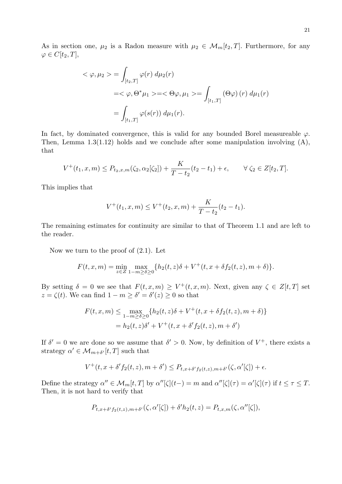As in section one,  $\mu_2$  is a Radon measure with  $\mu_2 \in \mathcal{M}_m[t_2, T]$ . Furthermore, for any  $\varphi \in C[t_2, T]$ ,

$$
\langle \varphi, \mu_2 \rangle = \int_{[t_2, T]} \varphi(r) d\mu_2(r)
$$
  
= $\langle \varphi, \Theta^* \mu_1 \rangle = \langle \Theta \varphi, \mu_1 \rangle = \int_{[t_1, T]} (\Theta \varphi) (r) d\mu_1(r)$   
=
$$
\int_{[t_1, T]} \varphi(s(r)) d\mu_1(r).
$$

In fact, by dominated convergence, this is valid for any bounded Borel measureable  $\varphi$ . Then, Lemma  $1.3(1.12)$  holds and we conclude after some manipulation involving  $(A)$ , that

$$
V^+(t_1, x, m) \le P_{t_2, x, m}(\zeta_2, \alpha_2[\zeta_2]) + \frac{K}{T - t_2}(t_2 - t_1) + \epsilon, \qquad \forall \ \zeta_2 \in Z[t_2, T].
$$

This implies that

$$
V^+(t_1, x, m) \le V^+(t_2, x, m) + \frac{K}{T - t_2}(t_2 - t_1).
$$

The remaining estimates for continuity are similar to that of Theorem 1.1 and are left to the reader.

Now we turn to the proof of (2.1). Let

$$
F(t, x, m) = \min_{z \in Z} \max_{1-m \ge \delta \ge 0} \{ h_2(t, z)\delta + V^+(t, x + \delta f_2(t, z), m + \delta) \}.
$$

By setting  $\delta = 0$  we see that  $F(t, x, m) \geq V^+(t, x, m)$ . Next, given any  $\zeta \in Z[t, T]$  set  $z = \zeta(t)$ . We can find  $1 - m \ge \delta' = \delta'(z) \ge 0$  so that

$$
F(t, x, m) \le \max_{1-m \ge \delta \ge 0} \{ h_2(t, z)\delta + V^+(t, x + \delta f_2(t, z), m + \delta) \}
$$
  
=  $h_2(t, z)\delta' + V^+(t, x + \delta' f_2(t, z), m + \delta')$ 

If  $\delta' = 0$  we are done so we assume that  $\delta' > 0$ . Now, by definition of  $V^+$ , there exists a strategy  $\alpha' \in \mathcal{M}_{m+\delta'}[t,T]$  such that

$$
V^+(t, x + \delta' f_2(t, z), m + \delta') \le P_{t, x + \delta' f_2(t, z), m + \delta'}(\zeta, \alpha'[\zeta]) + \epsilon.
$$

Define the strategy  $\alpha'' \in \mathcal{M}_m[t,T]$  by  $\alpha''[\zeta](t-) = m$  and  $\alpha''[\zeta](\tau) = \alpha'[\zeta](\tau)$  if  $t \leq \tau \leq T$ . Then, it is not hard to verify that

$$
P_{t,x+\delta' f_2(t,z),m+\delta'}(\zeta,\alpha'[\zeta]) + \delta' h_2(t,z) = P_{t,x,m}(\zeta,\alpha''[\zeta]),
$$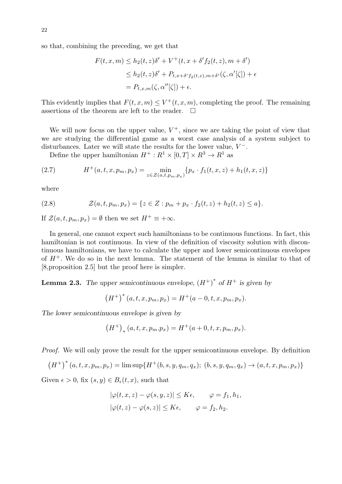so that, combining the preceding, we get that

$$
F(t, x, m) \le h_2(t, z)\delta' + V^+(t, x + \delta' f_2(t, z), m + \delta')
$$
  
\n
$$
\le h_2(t, z)\delta' + P_{t, x + \delta' f_2(t, z), m + \delta'}(\zeta, \alpha'[\zeta]) + \epsilon
$$
  
\n
$$
= P_{t, x, m}(\zeta, \alpha''[\zeta]) + \epsilon.
$$

This evidently implies that  $F(t, x, m) \leq V^+(t, x, m)$ , completing the proof. The remaining assertions of the theorem are left to the reader.  $\Box$ 

We will now focus on the upper value,  $V^+$ , since we are taking the point of view that we are studying the differential game as a worst case analysis of a system subject to disturbances. Later we will state the results for the lower value, *V −.*

Define the upper hamiltonian  $H^+ : R^1 \times [0, T] \times R^3 \to R^1$  as

(2.7) 
$$
H^+(a,t,x,p_m,p_x) = \min_{z \in \mathcal{Z}(a,t,p_m,p_x)} \{p_x \cdot f_1(t,x,z) + h_1(t,x,z)\}
$$

where

(2.8) 
$$
\mathcal{Z}(a,t,p_m,p_x) = \{z \in Z : p_m + p_x \cdot f_2(t,z) + h_2(t,z) \leq a\}.
$$

If  $\mathcal{Z}(a, t, p_m, p_x) = \emptyset$  then we set  $H^+ \equiv +\infty$ .

In general, one cannot expect such hamiltonians to be continuous functions. In fact, this hamiltonian is not continuous. In view of the definition of viscosity solution with discontinuous hamiltonians, we have to calculate the upper and lower semicontinuous envelopes of  $H^+$ . We do so in the next lemma. The statement of the lemma is similar to that of [8,proposition 2.5] but the proof here is simpler.

**Lemma 2.3.** *The upper semicontinuous envelope,*  $(H^+)^*$  *of*  $H^+$  *is given by* 

$$
(H^+)^*(a, t, x, p_m, p_x) = H^+(a - 0, t, x, p_m, p_x).
$$

*The lower semicontinuous envelope is given by*

$$
(H^+)_*(a, t, x, p_m.p_x) = H^+(a+0, t, x, p_m, p_x).
$$

*Proof.* We will only prove the result for the upper semicontinuous envelope. By definition

$$
(H^+)^*(a, t, x, p_m, p_x) = \limsup \{ H^+(b, s, y, q_m, q_x); (b, s, y, q_m, q_x) \to (a, t, x, p_m, p_x) \}
$$

Given  $\epsilon > 0$ , fix  $(s, y) \in B_{\epsilon}(t, x)$ , such that

$$
|\varphi(t, x, z) - \varphi(s, y, z)| \le K\epsilon, \qquad \varphi = f_1, h_1,
$$
  

$$
|\varphi(t, z) - \varphi(s, z)| \le K\epsilon, \qquad \varphi = f_2, h_2.
$$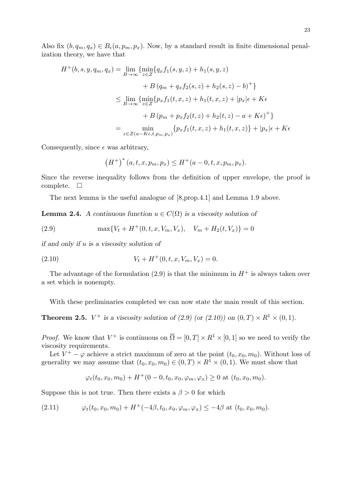Also fix  $(b, q_m, q_x) \in B_\epsilon(a, p_m, p_x)$ . Now, by a standard result in finite dimensional penalization theory, we have that

$$
H^{+}(b, s, y, q_{m}, q_{x}) = \lim_{B \to \infty} \{ \min_{z \in Z} \{ q_{x} f_{1}(s, y, z) + h_{1}(s, y, z) + B (q_{m} + q_{x} f_{2}(s, z) + h_{2}(s, z) - b)^{+} \}
$$
  

$$
\leq \lim_{B \to \infty} \{ \min_{z \in Z} \{ p_{x} f_{1}(t, x, z) + h_{1}(t, x, z) + |p_{x}| \epsilon + K \epsilon + B (p_{m} + p_{x} f_{2}(t, z) + h_{2}(t, z) - a + K \epsilon)^{+} \}
$$
  

$$
= \min_{z \in Z(a - K \epsilon, t, p_{m}, p_{x})} \{ p_{x} f_{1}(t, x, z) + h_{1}(t, x, z) \} + |p_{x}| \epsilon + K \epsilon
$$

Consequently, since  $\epsilon$  was arbitrary,

$$
(H^+)^*(a, t, x, p_m, p_x) \le H^+(a - 0, t, x, p_m, p_x).
$$

Since the reverse inequality follows from the definition of upper envelope, the proof is complete.  $\square$ 

The next lemma is the useful analogue of [8,prop.4.1] and Lemma 1.9 above.

**Lemma 2.4.** *A continuous function*  $u \in C(\Omega)$  *is a viscosity solution of* 

(2.9) 
$$
\max\{V_t + H^+(0, t, x, V_m, V_x), \quad V_m + H_2(t, V_x)\} = 0
$$

*if and only if u is a viscosity solution of*

(2.10) 
$$
V_t + H^+(0, t, x, V_m, V_x) = 0.
$$

The advantage of the formulation (2.9) is that the minimum in  $H^+$  is always taken over a set which is nonempty.

With these preliminaries completed we can now state the main result of this section.

**Theorem 2.5.**  $V^+$  is a viscosity solution of (2.9) (or (2.10)) on  $(0, T) \times R^1 \times (0, 1)$ *.* 

*Proof.* We know that  $V^+$  is continuous on  $\overline{\Omega} = [0, T] \times R^1 \times [0, 1]$  so we need to verify the viscosity requirements.

Let  $V^+ - \varphi$  achieve a strict maximum of zero at the point  $(t_0, x_0, m_0)$ . Without loss of generality we may assume that  $(t_0, x_0, m_0) \in (0, T) \times R^1 \times (0, 1)$ . We must show that

$$
\varphi_t(t_0, x_0, m_0) + H^+(0 - 0, t_0, x_0, \varphi_m, \varphi_x) \ge 0 \text{ at } (t_0, x_0, m_0).
$$

Suppose this is not true. Then there exists a  $\beta > 0$  for which

(2.11) 
$$
\varphi_t(t_0, x_0, m_0) + H^+(-4\beta, t_0, x_0, \varphi_m, \varphi_x) \leq -4\beta \text{ at } (t_0, x_0, m_0).
$$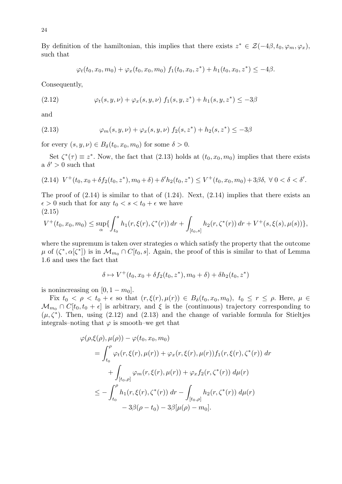By definition of the hamiltonian, this implies that there exists  $z^* \in \mathcal{Z}(-4\beta, t_0, \varphi_m, \varphi_x)$ , such that

$$
\varphi_t(t_0, x_0, m_0) + \varphi_x(t_0, x_0, m_0) f_1(t_0, x_0, z^*) + h_1(t_0, x_0, z^*) \leq -4\beta.
$$

Consequently,

(2.12) 
$$
\varphi_t(s, y, \nu) + \varphi_x(s, y, \nu) f_1(s, y, z^*) + h_1(s, y, z^*) \leq -3\beta
$$

and

(2.13) 
$$
\varphi_m(s, y, \nu) + \varphi_x(s, y, \nu) f_2(s, z^*) + h_2(s, z^*) \leq -3\beta
$$

for every  $(s, y, \nu) \in B_\delta(t_0, x_0, m_0)$  for some  $\delta > 0$ .

Set  $\zeta^*(\tau) \equiv z^*$ . Now, the fact that (2.13) holds at  $(t_0, x_0, m_0)$  implies that there exists a  $\delta' > 0$  such that

$$
(2.14) V^+(t_0, x_0 + \delta f_2(t_0, z^*), m_0 + \delta) + \delta' h_2(t_0, z^*) \le V^+(t_0, x_0, m_0) + 3\beta \delta, \ \forall \ 0 < \delta < \delta'.
$$

The proof of  $(2.14)$  is similar to that of  $(1.24)$ . Next,  $(2.14)$  implies that there exists an  $\epsilon > 0$  such that for any  $t_0 < s < t_0 + \epsilon$  we have (2.15)

$$
V^+(t_0, x_0, m_0) \leq \sup_{\alpha} \{ \int_{t_0}^s h_1(r, \xi(r), \zeta^*(r)) dr + \int_{[t_0, s]} h_2(r, \zeta^*(r)) dr + V^+(s, \xi(s), \mu(s)) \},
$$

where the supremum is taken over strategies  $\alpha$  which satisfy the property that the outcome  $\mu$  of  $(\zeta^*, \alpha[\zeta^*])$  is in  $\mathcal{M}_{m_0} \cap C[t_0, s]$ . Again, the proof of this is similar to that of Lemma 1.6 and uses the fact that

$$
\delta \mapsto V^+(t_0, x_0 + \delta f_2(t_0, z^*), m_0 + \delta) + \delta h_2(t_0, z^*)
$$

is nonincreasing on  $[0, 1 - m_0]$ .

Fix  $t_0 < \rho < t_0 + \epsilon$  so that  $(r, \xi(r), \mu(r)) \in B_\delta(t_0, x_0, m_0), t_0 \le r \le \rho$ . Here,  $\mu \in$  $\mathcal{M}_{m_0} \cap C[t_0, t_0 + \epsilon]$  is arbitrary, and  $\xi$  is the (continuous) trajectory corresponding to  $(\mu, \zeta^*)$ . Then, using (2.12) and (2.13) and the change of variable formula for Stieltjes integrals–noting that  $\varphi$  is smooth–we get that

$$
\varphi(\rho,\xi(\rho),\mu(\rho)) - \varphi(t_0, x_0, m_0)
$$
  
=  $\int_{t_0}^{\rho} \varphi_t(r,\xi(r),\mu(r)) + \varphi_x(r,\xi(r),\mu(r))f_1(r,\xi(r),\zeta^*(r)) dr$   
+  $\int_{[t_0,\rho]} \varphi_m(r,\xi(r),\mu(r)) + \varphi_x f_2(r,\zeta^*(r)) d\mu(r)$   
 $\leq - \int_{t_0}^{\rho} h_1(r,\xi(r),\zeta^*(r)) dr - \int_{[t_0,\rho]} h_2(r,\zeta^*(r)) d\mu(r)$   
-  $3\beta(\rho - t_0) - 3\beta[\mu(\rho) - m_0].$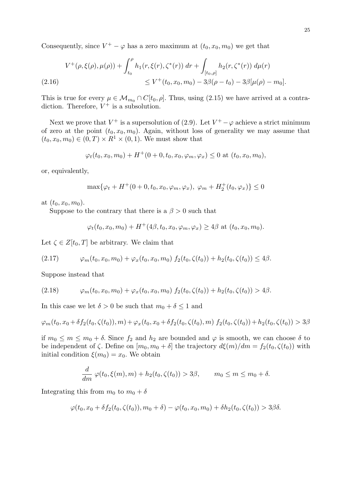Consequently, since  $V^+ - \varphi$  has a zero maximum at  $(t_0, x_0, m_0)$  we get that

$$
V^+(\rho, \xi(\rho), \mu(\rho)) + \int_{t_0}^{\rho} h_1(r, \xi(r), \zeta^*(r)) dr + \int_{[t_0, \rho]} h_2(r, \zeta^*(r)) d\mu(r)
$$
  

$$
\leq V^+(t_0, x_0, m_0) - 3\beta(\rho - t_0) - 3\beta[\mu(\rho) - m_0].
$$

This is true for every  $\mu \in \mathcal{M}_{m_0} \cap C[t_0, \rho]$ . Thus, using (2.15) we have arrived at a contradiction. Therefore,  $V^+$  is a subsolution.

Next we prove that  $V^+$  is a supersolution of (2.9). Let  $V^+ - \varphi$  achieve a strict minimum of zero at the point  $(t_0, x_0, m_0)$ . Again, without loss of generality we may assume that  $(t_0, x_0, m_0) \in (0, T) \times R^1 \times (0, 1)$ *.* We must show that

$$
\varphi_t(t_0, x_0, m_0) + H^+(0 + 0, t_0, x_0, \varphi_m, \varphi_x) \le 0 \text{ at } (t_0, x_0, m_0),
$$

or, equivalently,

$$
\max{\{\varphi_t + H^+(0 + 0, t_0, x_0, \varphi_m, \varphi_x), \ \varphi_m + H_2^+(t_0, \varphi_x)\}} \le 0
$$

at  $(t_0, x_0, m_0)$ .

Suppose to the contrary that there is a  $\beta > 0$  such that

$$
\varphi_t(t_0, x_0, m_0) + H^+(4\beta, t_0, x_0, \varphi_m, \varphi_x) \ge 4\beta
$$
 at  $(t_0, x_0, m_0)$ .

Let  $\zeta \in Z[t_0,T]$  be arbitrary. We claim that

$$
(2.17) \qquad \varphi_m(t_0, x_0, m_0) + \varphi_x(t_0, x_0, m_0) f_2(t_0, \zeta(t_0)) + h_2(t_0, \zeta(t_0)) \leq 4\beta.
$$

Suppose instead that

$$
(2.18) \qquad \varphi_m(t_0, x_0, m_0) + \varphi_x(t_0, x_0, m_0) f_2(t_0, \zeta(t_0)) + h_2(t_0, \zeta(t_0)) > 4\beta.
$$

In this case we let  $\delta > 0$  be such that  $m_0 + \delta \leq 1$  and

$$
\varphi_m(t_0, x_0 + \delta f_2(t_0, \zeta(t_0)), m) + \varphi_x(t_0, x_0 + \delta f_2(t_0, \zeta(t_0), m) f_2(t_0, \zeta(t_0)) + h_2(t_0, \zeta(t_0)) > 3\beta
$$

if  $m_0 \leq m \leq m_0 + \delta$ . Since  $f_2$  and  $h_2$  are bounded and  $\varphi$  is smooth, we can choose  $\delta$  to be independent of  $\zeta$ . Define on  $[m_0, m_0 + \delta]$  the trajectory  $d\xi(m)/dm = f_2(t_0, \zeta(t_0))$  with initial condition  $\xi(m_0) = x_0$ . We obtain

$$
\frac{d}{dm}\varphi(t_0,\xi(m),m)+h_2(t_0,\zeta(t_0))>3\beta, \qquad m_0\leq m\leq m_0+\delta.
$$

Integrating this from  $m_0$  to  $m_0 + \delta$ 

$$
\varphi(t_0, x_0 + \delta f_2(t_0, \zeta(t_0)), m_0 + \delta) - \varphi(t_0, x_0, m_0) + \delta h_2(t_0, \zeta(t_0)) > 3\beta\delta.
$$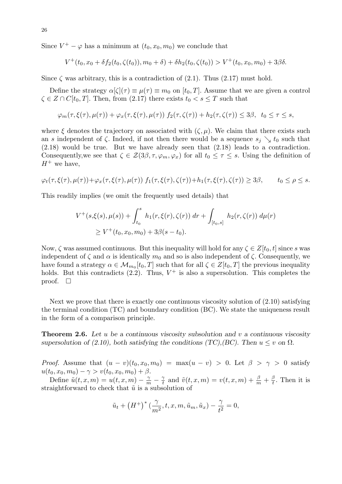Since  $V^+ - \varphi$  has a minimum at  $(t_0, x_0, m_0)$  we conclude that

$$
V^+(t_0, x_0 + \delta f_2(t_0, \zeta(t_0)), m_0 + \delta) + \delta h_2(t_0, \zeta(t_0)) > V^+(t_0, x_0, m_0) + 3\beta\delta.
$$

Since  $\zeta$  was arbitrary, this is a contradiction of  $(2.1)$ . Thus  $(2.17)$  must hold.

Define the strategy  $\alpha[\zeta](\tau) \equiv \mu(\tau) \equiv m_0$  on  $[t_0, T]$ . Assume that we are given a control  $\zeta \in Z \cap C[t_0, T]$ . Then, from (2.17) there exists  $t_0 < s \leq T$  such that

$$
\varphi_m(\tau,\xi(\tau),\mu(\tau)) + \varphi_x(\tau,\xi(\tau),\mu(\tau)) f_2(\tau,\zeta(\tau)) + h_2(\tau,\zeta(\tau)) \leq 3\beta, \quad t_0 \leq \tau \leq s,
$$

where  $\xi$  denotes the trajectory on associated with  $(\zeta, \mu)$ . We claim that there exists such an *s* independent of  $\zeta$ . Indeed, if not then there would be a sequence  $s_j \searrow t_0$  such that (2.18) would be true. But we have already seen that (2.18) leads to a contradiction. Consequently, we see that  $\zeta \in \mathcal{Z}(3\beta, \tau, \varphi_m, \varphi_x)$  for all  $t_0 \leq \tau \leq s$ . Using the definition of  $H^+$  we have,

$$
\varphi_t(\tau,\xi(\tau),\mu(\tau)) + \varphi_x(\tau,\xi(\tau),\mu(\tau)) f_1(\tau,\xi(\tau),\zeta(\tau)) + h_1(\tau,\xi(\tau),\zeta(\tau)) \geq 3\beta, \qquad t_0 \leq \rho \leq s.
$$

This readily implies (we omit the frequently used details) that

$$
V^+(s,\xi(s),\mu(s)) + \int_{t_0}^s h_1(r,\xi(r),\zeta(r)) dr + \int_{[t_0,s]} h_2(r,\zeta(r)) d\mu(r)
$$
  
 
$$
\geq V^+(t_0,x_0,m_0) + 3\beta(s-t_0).
$$

Now,  $\zeta$  was assumed continuous. But this inequality will hold for any  $\zeta \in Z[t_0, t]$  since *s* was independent of  $\zeta$  and  $\alpha$  is identically  $m_0$  and so is also independent of  $\zeta$ . Consequently, we have found a strategy  $\alpha \in M_{m_0}[t_0, T]$  such that for all  $\zeta \in Z[t_0, T]$  the previous inequality holds. But this contradicts  $(2.2)$ . Thus,  $V^+$  is also a supersolution. This completes the proof.  $\square$ 

Next we prove that there is exactly one continuous viscosity solution of (2.10) satisfying the terminal condition (TC) and boundary condition (BC). We state the uniqueness result in the form of a comparison principle.

**Theorem 2.6.** *Let u be a continuous viscosity subsolution and v a continuous viscosity supersolution of (2.10), both satisfying the conditions (TC),(BC). Then*  $u \leq v$  on  $\Omega$ *.* 

*Proof.* Assume that  $(u - v)(t_0, x_0, m_0) = \max(u - v) > 0$ . Let  $\beta > \gamma > 0$  satisfy  $u(t_0, x_0, m_0) - \gamma > v(t_0, x_0, m_0) + \beta.$ 

Define  $\tilde{u}(t, x, m) = u(t, x, m) - \frac{\gamma}{n}$  $\frac{\gamma}{m} - \frac{\gamma}{t}$  $\frac{\gamma}{t}$  and  $\tilde{v}(t, x, m) = v(t, x, m) + \frac{\beta}{m} + \frac{\beta}{t}$  $\frac{\beta}{t}$ . Then it is straightforward to check that  $\tilde{u}$  is a subsolution of

$$
\tilde{u}_t + (H^+)^* \left( \frac{\gamma}{m^2}, t, x, m, \tilde{u}_m, \tilde{u}_x \right) - \frac{\gamma}{t^2} = 0,
$$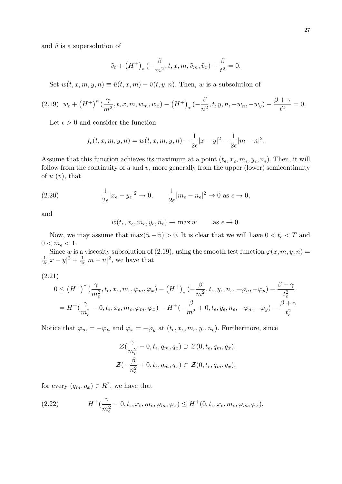and  $\tilde{v}$  is a supersolution of

$$
\tilde{v}_t + (H^+)_* \left(-\frac{\beta}{m^2}, t, x, m, \tilde{v}_m, \tilde{v}_x\right) + \frac{\beta}{t^2} = 0.
$$

Set  $w(t, x, m, y, n) \equiv \tilde{u}(t, x, m) - \tilde{v}(t, y, n)$ . Then, *w* is a subsolution of

$$
(2.19) \ w_t + \left(H^+\right)^* \left(\frac{\gamma}{m^2}, t, x, m, w_m, w_x\right) - \left(H^+\right)_* \left(-\frac{\beta}{n^2}, t, y, n, -w_n, -w_y\right) - \frac{\beta + \gamma}{t^2} = 0.
$$

Let  $\epsilon > 0$  and consider the function

$$
f_{\epsilon}(t, x, m, y, n) = w(t, x, m, y, n) - \frac{1}{2\epsilon}|x - y|^2 - \frac{1}{2\epsilon}|m - n|^2.
$$

Assume that this function achieves its maximum at a point  $(t_{\epsilon}, x_{\epsilon}, m_{\epsilon}, y_{\epsilon}, n_{\epsilon})$ . Then, it will follow from the continuity of *u* and *v*, more generally from the upper (lower) semicontinuity of *u* (*v*), that

(2.20) 
$$
\frac{1}{2\epsilon}|x_{\epsilon}-y_{\epsilon}|^2 \to 0, \qquad \frac{1}{2\epsilon}|m_{\epsilon}-n_{\epsilon}|^2 \to 0 \text{ as } \epsilon \to 0,
$$

and

$$
w(t_{\epsilon}, x_{\epsilon}, m_{\epsilon}, y_{\epsilon}, n_{\epsilon}) \to \max w
$$
 as  $\epsilon \to 0$ .

Now, we may assume that  $\max(\tilde{u} - \tilde{v}) > 0$ . It is clear that we will have  $0 < t_{\epsilon} < T$  and  $0 < m_{\epsilon} < 1.$ 

Since *w* is a viscosity subsolution of (2.19), using the smooth test function  $\varphi(x, m, y, n) =$ 1  $\frac{1}{2\epsilon}|x-y|^2 + \frac{1}{2\epsilon}$  $\frac{1}{2\epsilon}|m-n|^2$ , we have that

(2.21)

$$
0 \leq (H^{+})^{*} \left(\frac{\gamma}{m_{\epsilon}^{2}}, t_{\epsilon}, x_{\epsilon}, m_{\epsilon}, \varphi_{m}, \varphi_{x}\right) - (H^{+})_{*} \left(-\frac{\beta}{m^{2}}, t_{\epsilon}, y_{\epsilon}, n_{\epsilon}, -\varphi_{n}, -\varphi_{y}\right) - \frac{\beta + \gamma}{t_{\epsilon}^{2}}
$$
  
=  $H^{+} \left(\frac{\gamma}{m_{\epsilon}^{2}} - 0, t_{\epsilon}, x_{\epsilon}, m_{\epsilon}, \varphi_{m}, \varphi_{x}\right) - H^{+} \left(-\frac{\beta}{m^{2}} + 0, t_{\epsilon}, y_{\epsilon}, n_{\epsilon}, -\varphi_{n}, -\varphi_{y}\right) - \frac{\beta + \gamma}{t_{\epsilon}^{2}}$ 

Notice that  $\varphi_m = -\varphi_n$  and  $\varphi_x = -\varphi_y$  at  $(t_\epsilon, x_\epsilon, m_\epsilon, y_\epsilon, n_\epsilon)$ . Furthermore, since

$$
\mathcal{Z}(\frac{\gamma}{m_{\epsilon}^2} - 0, t_{\epsilon}, q_m, q_x) \supset \mathcal{Z}(0, t_{\epsilon}, q_m, q_x),
$$
  

$$
\mathcal{Z}(-\frac{\beta}{n_{\epsilon}^2} + 0, t_{\epsilon}, q_m, q_x) \subset \mathcal{Z}(0, t_{\epsilon}, q_m, q_x),
$$

for every  $(q_m, q_x) \in R^2$ , we have that

(2.22) 
$$
H^+(\frac{\gamma}{m_{\epsilon}^2}-0,t_{\epsilon},x_{\epsilon},m_{\epsilon},\varphi_m,\varphi_x)\leq H^+(0,t_{\epsilon},x_{\epsilon},m_{\epsilon},\varphi_m,\varphi_x),
$$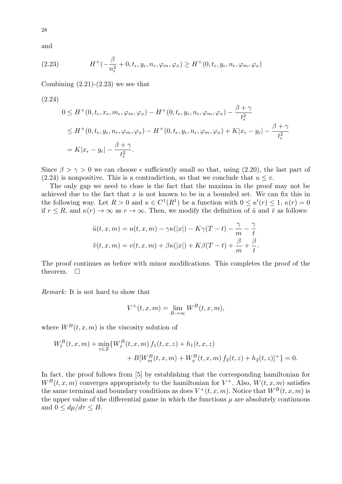and

28

(2.23) 
$$
H^+(-\frac{\beta}{n_{\epsilon}^2}+0,t_{\epsilon},y_{\epsilon},n_{\epsilon},\varphi_m,\varphi_x)\geq H^+(0,t_{\epsilon},y_{\epsilon},n_{\epsilon},\varphi_m,\varphi_x)
$$

Combining  $(2.21)-(2.23)$  we see that

(2.24)  
\n
$$
0 \leq H^+(0, t_{\epsilon}, x_{\epsilon}, m_{\epsilon}, \varphi_m, \varphi_x) - H^+(0, t_{\epsilon}, y_{\epsilon}, n_{\epsilon}, \varphi_m, \varphi_x) - \frac{\beta + \gamma}{t_{\epsilon}^2}
$$
\n
$$
\leq H^+(0, t_{\epsilon}, y_{\epsilon}, n_{\epsilon}, \varphi_m, \varphi_x) - H^+(0, t_{\epsilon}, y_{\epsilon}, n_{\epsilon}, \varphi_m, \varphi_x) + K|x_{\epsilon} - y_{\epsilon}| - \frac{\beta + \gamma}{t_{\epsilon}^2}
$$
\n
$$
= K|x_{\epsilon} - y_{\epsilon}| - \frac{\beta + \gamma}{t_{\epsilon}^2}.
$$

Since  $\beta > \gamma > 0$  we can choose  $\epsilon$  sufficiently small so that, using (2.20), the last part of (2.24) is nonpositive. This is a contradiction, so that we conclude that  $u \leq v$ .

The only gap we need to close is the fact that the maxima in the proof may not be achieved due to the fact that *x* is not known to be in a bounded set. We can fix this in the following way. Let  $R > 0$  and  $\kappa \in C^1(R^1)$  be a function with  $0 \leq \kappa'(r) \leq 1$ ,  $\kappa(r) = 0$ if  $r \leq R$ , and  $\kappa(r) \to \infty$  as  $r \to \infty$ . Then, we modify the definition of  $\tilde{u}$  and  $\tilde{v}$  as follows:

$$
\tilde{u}(t, x, m) = u(t, x, m) - \gamma \kappa(|x|) - K\gamma(T - t) - \frac{\gamma}{m} - \frac{\gamma}{t}
$$

$$
\tilde{v}(t, x, m) = v(t, x, m) + \beta \kappa(|x|) + K\beta(T - t) + \frac{\beta}{m} + \frac{\beta}{t}.
$$

The proof continues as before with minor modifications. This completes the proof of the theorem.  $\square$ 

*Remark:* It is not hard to show that

$$
V^+(t, x, m) = \lim_{B \to \infty} W^B(t, x, m),
$$

where  $W^B(t, x, m)$  is the viscosity solution of

$$
W_t^B(t, x, m) + \min_{z \in Z} \{ W_x^B(t, x, m) f_1(t, x, z) + h_1(t, x, z) + B[W_m^B(t, x, m) + W_x^B(t, x, m) f_2(t, z) + h_2(t, z)]^+ \} = 0.
$$

In fact, the proof follows from [5] by establishing that the corresponding hamiltonian for  $W^B(t, x, m)$  converges appropriately to the hamiltonian for  $V^+$ . Also,  $W(t, x, m)$  satisfies the same terminal and boundary conditions as does  $V^+(t, x, m)$ . Notice that  $W^B(t, x, m)$  is the upper value of the differential game in which the functions  $\mu$  are absolutely continuous and  $0 \le d\mu/d\tau \le B$ .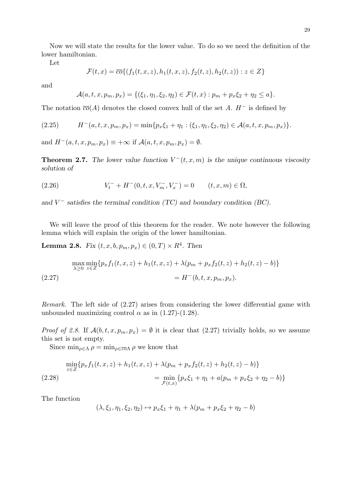Now we will state the results for the lower value. To do so we need the definition of the lower hamiltonian.

Let

$$
\mathcal{F}(t,x) = \overline{co} \{ (f_1(t,x,z), h_1(t,x,z), f_2(t,z), h_2(t,z)) : z \in Z \}
$$

and

$$
\mathcal{A}(a,t,x,p_m,p_x) = \{(\xi_1,\eta_1,\xi_2,\eta_2) \in \mathcal{F}(t,x) : p_m + p_x \xi_2 + \eta_2 \leq a\}.
$$

The notation  $\overline{co}(A)$  denotes the closed convex hull of the set A.  $H^-$  is defined by

$$
(2.25) \tH-(a,t,x,pm,px) = min{pxξ1 + η1 : (ξ1, η1, ξ2, η2) ∈ \mathcal{A}(a,t,x,pm,px)}.
$$

and  $H^{-}(a, t, x, p_m, p_x) \equiv +\infty$  if  $\mathcal{A}(a, t, x, p_m, p_x) = \emptyset$ .

**Theorem 2.7.** *The lower value function*  $V^-(t, x, m)$  *is the unique continuous viscosity solution of*

(2.26) 
$$
V_t^- + H^-(0, t, x, V_m^-, V_x^-) = 0 \qquad (t, x, m) \in \Omega,
$$

*and V <sup>−</sup> satisfies the terminal condition (TC) and boundary condition (BC).*

We will leave the proof of this theorem for the reader. We note however the following lemma which will explain the origin of the lower hamiltonian.

**Lemma 2.8.** *Fix*  $(t, x, b, p_m, p_x) \in (0, T) \times R^4$ . *Then* 

$$
\max_{\lambda \ge 0} \min_{z \in Z} \{ p_x f_1(t, x, z) + h_1(t, x, z) + \lambda (p_m + p_x f_2(t, z) + h_2(t, z) - b) \}
$$
  
(2.27) 
$$
= H^-(b, t, x, p_m, p_x).
$$

*Remark.* The left side of (2.27) arises from considering the lower differential game with unbounded maximizing control  $\alpha$  as in (1.27)-(1.28).

*Proof of 2.8.* If  $\mathcal{A}(b, t, x, p_m, p_x) = \emptyset$  it is clear that (2.27) trivially holds, so we assume this set is not empty.

Since  $\min_{\rho \in \Lambda} \rho = \min_{\rho \in \overline{co}\Lambda} \rho$  we know that

$$
\min_{z \in Z} \{ p_x f_1(t, x, z) + h_1(t, x, z) + \lambda (p_m + p_x f_2(t, z) + h_2(t, z) - b) \}
$$
\n
$$
= \min_{\mathcal{F}(t, x)} \{ p_x \xi_1 + \eta_1 + a(p_m + p_x \xi_2 + \eta_2 - b) \}
$$

The function

$$
(\lambda, \xi_1, \eta_1, \xi_2, \eta_2) \mapsto p_x \xi_1 + \eta_1 + \lambda (p_m + p_x \xi_2 + \eta_2 - b)
$$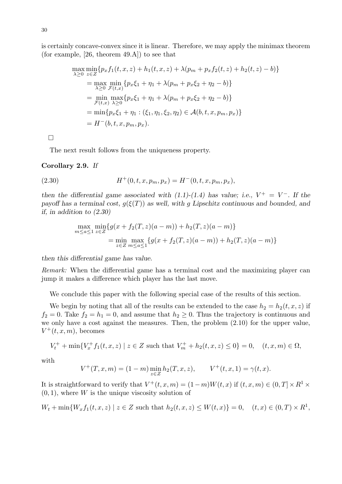is certainly concave-convex since it is linear. Therefore, we may apply the minimax theorem (for example, [26, theorem 49.A]) to see that

$$
\max_{\lambda \geq 0} \min_{z \in Z} \{ p_x f_1(t, x, z) + h_1(t, x, z) + \lambda (p_m + p_x f_2(t, z) + h_2(t, z) - b) \}
$$
\n
$$
= \max_{\lambda \geq 0} \min_{\mathcal{F}(t, x)} \{ p_x \xi_1 + \eta_1 + \lambda (p_m + p_x \xi_2 + \eta_2 - b) \}
$$
\n
$$
= \min_{\mathcal{F}(t, x)} \max_{\lambda \geq 0} \{ p_x \xi_1 + \eta_1 + \lambda (p_m + p_x \xi_2 + \eta_2 - b) \}
$$
\n
$$
= \min \{ p_x \xi_1 + \eta_1 : (\xi_1, \eta_1, \xi_2, \eta_2) \in \mathcal{A}(b, t, x, p_m, p_x) \}
$$
\n
$$
= H^-(b, t, x, p_m, p_x).
$$

 $\Box$ 

The next result follows from the uniqueness property.

#### **Corollary 2.9.** *If*

(2.30) 
$$
H^+(0, t, x, p_m, p_x) = H^-(0, t, x, p_m, p_x),
$$

*then the differential game associated with (1.1)-(1.4) has value; i.e.,*  $V^+ = V^-$ . If the *payoff has a terminal cost,*  $g(\xi(T))$  *as well, with g Lipschitz continuous and bounded, and if, in addition to (2.30)*

$$
\max_{m \le a \le 1} \min_{z \in Z} \{ g(x + f_2(T, z)(a - m)) + h_2(T, z)(a - m) \}
$$
  
= 
$$
\min_{z \in Z} \max_{m \le a \le 1} \{ g(x + f_2(T, z)(a - m)) + h_2(T, z)(a - m) \}
$$

*then this differential game has value.*

*Remark:* When the differential game has a terminal cost and the maximizing player can jump it makes a difference which player has the last move.

We conclude this paper with the following special case of the results of this section.

We begin by noting that all of the results can be extended to the case  $h_2 = h_2(t, x, z)$  if  $f_2 = 0$ . Take  $f_2 = h_1 = 0$ , and assume that  $h_2 \geq 0$ . Thus the trajectory is continuous and we only have a cost against the measures. Then, the problem (2.10) for the upper value,  $V^+(t,x,m)$ , becomes

$$
V_t^+ + \min\{V_x^+ f_1(t, x, z) \mid z \in Z \text{ such that } V_m^+ + h_2(t, x, z) \le 0\} = 0, \quad (t, x, m) \in \Omega,
$$

with

$$
V^+(T, x, m) = (1 - m) \min_{z \in Z} h_2(T, x, z), \qquad V^+(t, x, 1) = \gamma(t, x).
$$

It is straightforward to verify that  $V^+(t, x, m) = (1 - m)W(t, x)$  if  $(t, x, m) \in (0, T] \times R^1 \times$  $(0, 1)$ , where *W* is the unique viscosity solution of

 $W_t + \min\{W_x f_1(t, x, z) \mid z \in Z \text{ such that } h_2(t, x, z) \le W(t, x)\} = 0, \quad (t, x) \in (0, T) \times R^1,$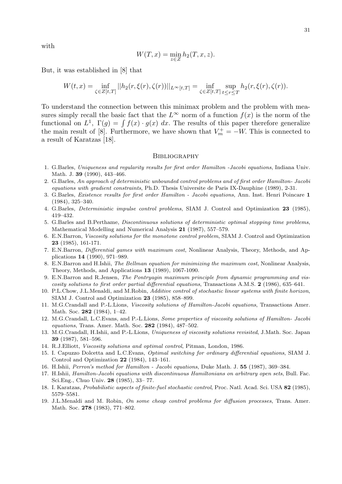with

$$
W(T, x) = \min_{z \in Z} h_2(T, x, z).
$$

But, it was established in [8] that

$$
W(t,x) = \inf_{\zeta \in Z[t,T]} ||h_2(r,\xi(r),\zeta(r))||_{L^{\infty}[t,T]} = \inf_{\zeta \in Z[t,T]} \sup_{t \le r \le T} h_2(r,\xi(r),\zeta(r)).
$$

To understand the connection between this minimax problem and the problem with measures simply recall the basic fact that the  $L^{\infty}$  norm of a function  $f(x)$  is the norm of the functional on  $L^1$ ,  $\Gamma(g) = \int f(x) \cdot g(x) dx$ . The results of this paper therefore generalize the main result of [8]. Furthermore, we have shown that  $V_m^+ = -W$ . This is connected to a result of Karatzas [18].

#### **BIBLIOGRAPHY**

- 1. G.Barles, *Uniqueness and regularity results for first order Hamilton -Jacobi equations*, Indiana Univ. Math. J. **39** (1990), 443–466.
- 2. G.Barles, *An approach of deterministic unbounded control problems and of first order Hamilton- Jacobi equations with gradient constraints*, Ph.D. Thesis Universite de Paris IX-Dauphine (1989), 2-31.
- 3. G.Barles, *Existence results for first order Hamilton Jacobi equations*, Ann. Inst. Henri Poincare **1** (1984), 325–340.
- 4. G.Barles, *Deterministic impulse control problems*, SIAM J. Control and Optimization **23** (1985), 419–432.
- 5. G.Barles and B.Perthame, *Discontinuous solutions of deterministic optimal stopping time problems*, Mathematical Modelling and Numerical Analysis **21** (1987), 557–579.
- 6. E.N.Barron, *Viscosity solutions for the monotone control problem*, SIAM J. Control and Optimization **23** (1985), 161-171.
- 7. E.N.Barron, *Differential games with maximum cost*, Nonlinear Analysis, Theory, Methods, and Applications **14** (1990), 971–989.
- 8. E.N.Barron and H.Ishii, *The Bellman equation for minimizing the maximum cost*, Nonlinear Analysis, Theory, Methods, and Applications **13** (1989), 1067-1090.
- 9. E.N.Barron and R.Jensen, *The Pontryagin maximum principle from dynamic programming and viscosity solutions to first order partial differential equations*, Transactions A.M.S. **2** (1986), 635–641.
- 10. P.L.Chow, J.L.Menaldi, and M.Robin, *Additive control of stochastic linear systems with finite horizon*, SIAM J. Control and Optimization **23** (1985), 858–899.
- 11. M.G.Crandall and P.-L.Lions, *Viscosity solutions of Hamilton-Jacobi equations*, Transactions Amer. Math. Soc. **282** (1984), 1–42.
- 12. M.G.Crandall, L.C.Evans, and P.-L.Lions, *Some properties of viscosity solutions of Hamilton- Jacobi equations*, Trans. Amer. Math. Soc. **282** (1984), 487–502.
- 13. M.G.Crandall, H.Ishii, and P.-L.Lions, *Uniqueness of viscosity solutions revisited*, J.Math. Soc. Japan **39** (1987), 581–596.
- 14. R.J.Elliott, *Viscosity solutions and optimal control*, Pitman, London, 1986.
- 15. I. Capuzzo Dolcetta and L.C.Evans, *Optimal switching for ordinary differential equations*, SIAM J. Control and Optimization **22** (1984), 143–161.
- 16. H.Ishii, *Perron's method for Hamilton Jacobi equations*, Duke Math. J. **55** (1987), 369–384.
- 17. H.Ishii, *Hamilton-Jacobi equations with discontinuous Hamiltonians on arbitrary open sets*, Bull. Fac. Sci.Eng., Chuo Univ. **28** (1985), 33– 77.
- 18. I. Karatzas, *Probabilistic aspects of finite-fuel stochastic control*, Proc. Natl. Acad. Sci. USA **82** (1985), 5579–5581.
- 19. J.L.Menaldi and M. Robin, *On some cheap control problems for diffusion processes*, Trans. Amer. Math. Soc. **278** (1983), 771–802.